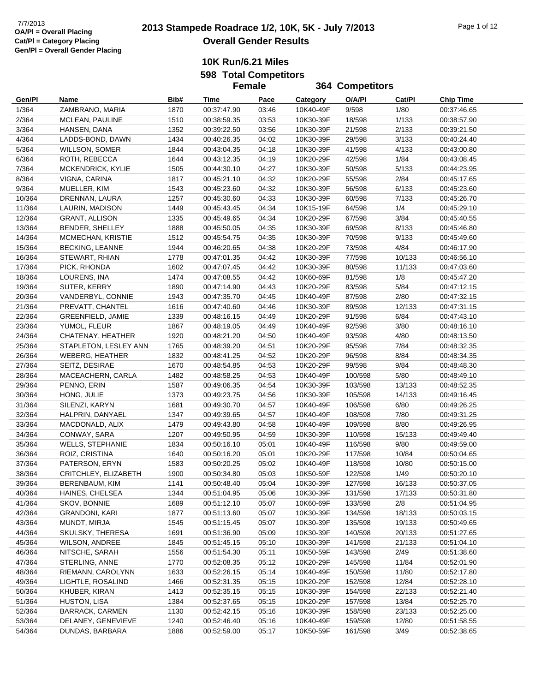### **10K Run/6.21 Miles 598 Total Competitors**

|        |                        |      | <b>Female</b> |       |           | 364 Competitors |        |                  |
|--------|------------------------|------|---------------|-------|-----------|-----------------|--------|------------------|
| Gen/Pl | Name                   | Bib# | Time          | Pace  | Category  | O/A/PI          | Cat/PI | <b>Chip Time</b> |
| 1/364  | ZAMBRANO, MARIA        | 1870 | 00:37:47.90   | 03:46 | 10K40-49F | 9/598           | 1/80   | 00:37:46.65      |
| 2/364  | MCLEAN, PAULINE        | 1510 | 00:38:59.35   | 03:53 | 10K30-39F | 18/598          | 1/133  | 00:38:57.90      |
| 3/364  | HANSEN, DANA           | 1352 | 00:39:22.50   | 03:56 | 10K30-39F | 21/598          | 2/133  | 00:39:21.50      |
| 4/364  | LADDS-BOND, DAWN       | 1434 | 00:40:26.35   | 04:02 | 10K30-39F | 29/598          | 3/133  | 00:40:24.40      |
| 5/364  | <b>WILLSON, SOMER</b>  | 1844 | 00:43:04.35   | 04:18 | 10K30-39F | 41/598          | 4/133  | 00:43:00.80      |
| 6/364  | ROTH, REBECCA          | 1644 | 00:43:12.35   | 04:19 | 10K20-29F | 42/598          | 1/84   | 00:43:08.45      |
| 7/364  | MCKENDRICK, KYLIE      | 1505 | 00:44:30.10   | 04:27 | 10K30-39F | 50/598          | 5/133  | 00:44:23.95      |
| 8/364  | VIGNA, CARINA          | 1817 | 00:45:21.10   | 04:32 | 10K20-29F | 55/598          | 2/84   | 00:45:17.65      |
| 9/364  | MUELLER, KIM           | 1543 | 00:45:23.60   | 04:32 | 10K30-39F | 56/598          | 6/133  | 00:45:23.60      |
| 10/364 | DRENNAN, LAURA         | 1257 | 00:45:30.60   | 04:33 | 10K30-39F | 60/598          | 7/133  | 00:45:26.70      |
| 11/364 | LAURIN, MADISON        | 1449 | 00:45:43.45   | 04:34 | 10K15-19F | 64/598          | 1/4    | 00:45:29.10      |
| 12/364 | <b>GRANT, ALLISON</b>  | 1335 | 00:45:49.65   | 04:34 | 10K20-29F | 67/598          | 3/84   | 00:45:40.55      |
| 13/364 | BENDER, SHELLEY        | 1888 | 00:45:50.05   | 04:35 | 10K30-39F | 69/598          | 8/133  | 00:45:46.80      |
| 14/364 | MCMECHAN, KRISTIE      | 1512 | 00:45:54.75   | 04:35 | 10K30-39F | 70/598          | 9/133  | 00:45:49.60      |
| 15/364 | <b>BECKING, LEANNE</b> | 1944 | 00:46:20.65   | 04:38 | 10K20-29F | 73/598          | 4/84   | 00:46:17.90      |
| 16/364 | STEWART, RHIAN         | 1778 | 00:47:01.35   | 04:42 | 10K30-39F | 77/598          | 10/133 | 00:46:56.10      |
| 17/364 | PICK, RHONDA           | 1602 | 00:47:07.45   | 04:42 | 10K30-39F | 80/598          | 11/133 | 00:47:03.60      |
| 18/364 | LOURENS, INA           | 1474 | 00:47:08.55   | 04:42 | 10K60-69F | 81/598          | 1/8    | 00:45:47.20      |
| 19/364 | SUTER, KERRY           | 1890 | 00:47:14.90   | 04:43 | 10K20-29F | 83/598          | 5/84   | 00:47:12.15      |
| 20/364 | VANDERBYL, CONNIE      | 1943 | 00:47:35.70   | 04:45 | 10K40-49F | 87/598          | 2/80   | 00:47:32.15      |
| 21/364 | PREVATT, CHANTEL       | 1616 | 00:47:40.60   | 04:46 | 10K30-39F | 89/598          | 12/133 | 00:47:31.15      |
| 22/364 | GREENFIELD, JAMIE      | 1339 | 00:48:16.15   | 04:49 | 10K20-29F | 91/598          | 6/84   | 00:47:43.10      |
| 23/364 | YUMOL, FLEUR           | 1867 | 00:48:19.05   | 04:49 | 10K40-49F | 92/598          | 3/80   | 00:48:16.10      |
| 24/364 | CHATENAY, HEATHER      | 1920 | 00:48:21.20   | 04:50 | 10K40-49F | 93/598          | 4/80   | 00:48:13.50      |
| 25/364 | STAPLETON, LESLEY ANN  | 1765 | 00:48:39.20   | 04:51 | 10K20-29F | 95/598          | 7/84   | 00:48:32.35      |
| 26/364 | <b>WEBERG, HEATHER</b> | 1832 | 00:48:41.25   | 04:52 | 10K20-29F | 96/598          | 8/84   | 00:48:34.35      |
| 27/364 | SEITZ, DESIRAE         | 1670 | 00:48:54.85   | 04:53 | 10K20-29F | 99/598          | 9/84   | 00:48:48.30      |
| 28/364 | MACEACHERN, CARLA      | 1482 | 00:48:58.25   | 04:53 | 10K40-49F | 100/598         | 5/80   | 00:48:49.10      |
| 29/364 | PENNO, ERIN            | 1587 | 00:49:06.35   | 04:54 | 10K30-39F | 103/598         | 13/133 | 00:48:52.35      |
| 30/364 | HONG, JULIE            | 1373 | 00:49:23.75   | 04:56 | 10K30-39F | 105/598         | 14/133 | 00:49:16.45      |
| 31/364 | SILENZI, KARYN         | 1681 | 00:49:30.70   | 04:57 | 10K40-49F | 106/598         | 6/80   | 00:49:26.25      |
| 32/364 | HALPRIN, DANYAEL       | 1347 | 00:49:39.65   | 04:57 | 10K40-49F | 108/598         | 7/80   | 00:49:31.25      |
| 33/364 | MACDONALD, ALIX        | 1479 | 00:49:43.80   | 04:58 | 10K40-49F | 109/598         | 8/80   | 00:49:26.95      |
| 34/364 | CONWAY, SARA           | 1207 | 00:49:50.95   | 04:59 | 10K30-39F | 110/598         | 15/133 | 00:49:49.40      |
| 35/364 | WELLS, STEPHANIE       | 1834 | 00:50:16.10   | 05:01 | 10K40-49F | 116/598         | 9/80   | 00:49:59.00      |
| 36/364 | ROIZ, CRISTINA         | 1640 | 00:50:16.20   | 05:01 | 10K20-29F | 117/598         | 10/84  | 00:50:04.65      |
| 37/364 | PATERSON, ERYN         | 1583 | 00:50:20.25   | 05:02 | 10K40-49F | 118/598         | 10/80  | 00:50:15.00      |
| 38/364 | CRITCHLEY, ELIZABETH   | 1900 | 00:50:34.80   | 05:03 | 10K50-59F | 122/598         | 1/49   | 00:50:20.10      |
| 39/364 | BERENBAUM, KIM         | 1141 | 00:50:48.40   | 05:04 | 10K30-39F | 127/598         | 16/133 | 00:50:37.05      |
| 40/364 | HAINES, CHELSEA        | 1344 | 00:51:04.95   | 05:06 | 10K30-39F | 131/598         | 17/133 | 00:50:31.80      |
| 41/364 | SKOV, BONNIE           | 1689 | 00:51:12.10   | 05:07 | 10K60-69F | 133/598         | 2/8    | 00:51:04.95      |
| 42/364 | <b>GRANDONI, KARI</b>  | 1877 | 00:51:13.60   | 05:07 | 10K30-39F | 134/598         | 18/133 | 00:50:03.15      |
| 43/364 | MUNDT, MIRJA           | 1545 | 00:51:15.45   | 05:07 | 10K30-39F | 135/598         | 19/133 | 00:50:49.65      |
| 44/364 | SKULSKY, THERESA       | 1691 | 00:51:36.90   | 05:09 | 10K30-39F | 140/598         | 20/133 | 00:51:27.65      |
| 45/364 | WILSON, ANDREE         | 1845 | 00:51:45.15   | 05:10 | 10K30-39F | 141/598         | 21/133 | 00:51:04.10      |
| 46/364 | NITSCHE, SARAH         | 1556 | 00:51:54.30   | 05:11 | 10K50-59F | 143/598         | 2/49   | 00:51:38.60      |
| 47/364 | STERLING, ANNE         | 1770 | 00:52:08.35   | 05:12 | 10K20-29F | 145/598         | 11/84  | 00:52:01.90      |
| 48/364 | RIEMANN, CAROLYNN      | 1633 | 00:52:26.15   | 05:14 | 10K40-49F | 150/598         | 11/80  | 00:52:17.80      |
| 49/364 | LIGHTLE, ROSALIND      | 1466 | 00:52:31.35   | 05:15 | 10K20-29F | 152/598         | 12/84  | 00:52:28.10      |
| 50/364 | KHUBER, KIRAN          | 1413 | 00:52:35.15   | 05:15 | 10K30-39F | 154/598         | 22/133 | 00:52:21.40      |
| 51/364 | HUSTON, LISA           | 1384 | 00:52:37.65   | 05:15 | 10K20-29F | 157/598         | 13/84  | 00:52:25.70      |
| 52/364 | <b>BARRACK, CARMEN</b> | 1130 | 00:52:42.15   | 05:16 | 10K30-39F | 158/598         | 23/133 | 00:52:25.00      |
| 53/364 | DELANEY, GENEVIEVE     | 1240 | 00:52:46.40   | 05:16 | 10K40-49F | 159/598         | 12/80  | 00:51:58.55      |
| 54/364 | DUNDAS, BARBARA        | 1886 | 00:52:59.00   | 05:17 | 10K50-59F | 161/598         | 3/49   | 00:52:38.65      |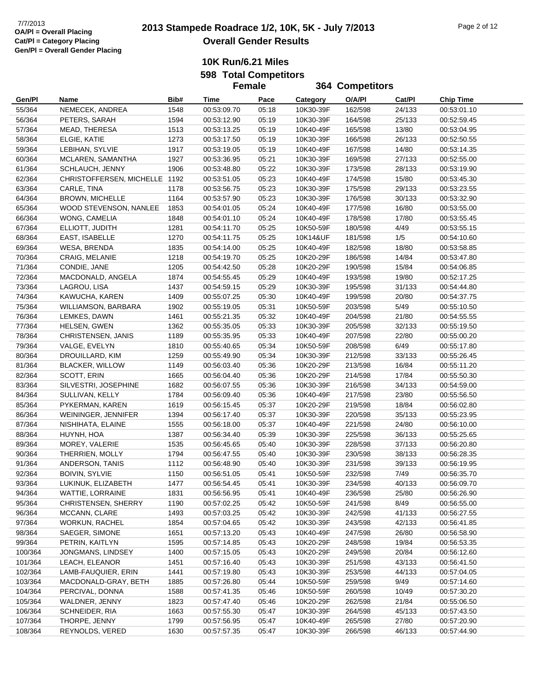**364 Competitors**

**10K Run/6.21 Miles 598 Total Competitors**

**Female**

**Gen/Pl Name Bib# Time Pace Category O/A/Pl Cat/Pl Chip Time** 55/364 NEMECEK, ANDREA 1548 00:53:09.70 05:18 10K30-39F 162/598 24/133 00:53:01.10 56/364 PETERS, SARAH 1594 00:53:12.90 05:19 10K30-39F 164/598 25/133 00:52:59.45 57/364 MEAD, THERESA 1513 00:53:13.25 05:19 10K40-49F 165/598 13/80 00:53:04.95 58/364 ELGIE, KATIE 1273 00:53:17.50 05:19 10K30-39F 166/598 26/133 00:52:50.55 59/364 LEBIHAN, SYLVIE 1917 00:53:19.05 05:19 10K40-49F 167/598 14/80 00:53:14.35 60/364 MCLAREN, SAMANTHA 1927 00:53:36.95 05:21 10K30-39F 169/598 27/133 00:52:55.00 61/364 SCHLAUCH, JENNY 1906 00:53:48.80 05:22 10K30-39F 173/598 28/133 00:53:19.90 62/364 CHRISTOFFERSEN, MICHELLE 1192 00:53:51.05 05:23 10K40-49F 174/598 15/80 00:53:45.30 63/364 CARLE, TINA 1178 00:53:56.75 05:23 10K30-39F 175/598 29/133 00:53:23.55 64/364 BROWN, MICHELLE 1164 00:53:57.90 05:23 10K30-39F 176/598 30/133 00:53:32.90 65/364 WOOD STEVENSON, NANLEE 1853 00:54:01.05 05:24 10K40-49F 177/598 16/80 00:53:55.00 66/364 WONG, CAMELIA 1848 00:54:01.10 05:24 10K40-49F 178/598 17/80 00:53:55.45 67/364 ELLIOTT, JUDITH 1281 00:54:11.70 05:25 10K50-59F 180/598 4/49 00:53:55.15 68/364 EAST, ISABELLE 1270 00:54:11.75 05:25 10K14&UF 181/598 1/5 00:54:10.60 69/364 WESA, BRENDA 1835 00:54:14.00 05:25 10K40-49F 182/598 18/80 00:53:58.85 70/364 CRAIG, MELANIE 1218 00:54:19.70 05:25 10K20-29F 186/598 14/84 00:53:47.80 71/364 CONDIE, JANE 1205 00:54:42.50 05:28 10K20-29F 190/598 15/84 00:54:06.85 72/364 MACDONALD, ANGELA 1874 00:54:55.45 05:29 10K40-49F 193/598 19/80 00:52:17.25 73/364 LAGROU, LISA 1437 00:54:59.15 05:29 10K30-39F 195/598 31/133 00:54:44.80 74/364 KAWUCHA, KAREN 1409 00:55:07.25 05:30 10K40-49F 199/598 20/80 00:54:37.75 75/364 WILLIAMSON, BARBARA 1902 00:55:19.05 05:31 10K50-59F 203/598 5/49 00:55:10.50 76/364 LEMKES, DAWN 1461 00:55:21.35 05:32 10K40-49F 204/598 21/80 00:54:55.55 77/364 HELSEN, GWEN 1362 00:55:35.05 05:33 10K30-39F 205/598 32/133 00:55:19.50 78/364 CHRISTENSEN, JANIS 1189 00:55:35.95 05:33 10K40-49F 207/598 22/80 00:55:00.20 79/364 VALGE, EVELYN 1810 00:55:40.65 05:34 10K50-59F 208/598 6/49 00:55:17.80 80/364 DROUILLARD, KIM 1259 00:55:49.90 05:34 10K30-39F 212/598 33/133 00:55:26.45 81/364 BLACKER, WILLOW 1149 00:56:03.40 05:36 10K20-29F 213/598 16/84 00:55:11.20 82/364 SCOTT, ERIN 1665 00:56:04.40 05:36 10K20-29F 214/598 17/84 00:55:50.30 83/364 SILVESTRI, JOSEPHINE 1682 00:56:07.55 05:36 10K30-39F 216/598 34/133 00:54:59.00 84/364 SULLIVAN, KELLY 1784 00:56:09.40 05:36 10K40-49F 217/598 23/80 00:55:56.50 85/364 PYKERMAN, KAREN 1619 00:56:15.45 05:37 10K20-29F 219/598 18/84 00:56:02.80 86/364 WEININGER, JENNIFER 1394 00:56:17.40 05:37 10K30-39F 220/598 35/133 00:55:23.95 87/364 NISHIHATA, ELAINE 1555 00:56:18.00 05:37 10K40-49F 221/598 24/80 00:56:10.00 88/364 HUYNH, HOA 1387 00:56:34.40 05:39 10K30-39F 225/598 36/133 00:55:25.65 89/364 MOREY, VALERIE 1535 00:56:45.65 05:40 10K30-39F 228/598 37/133 00:56:20.80 90/364 THERRIEN, MOLLY 1794 00:56:47.55 05:40 10K30-39F 230/598 38/133 00:56:28.35 91/364 ANDERSON, TANIS 1112 00:56:48.90 05:40 10K30-39F 231/598 39/133 00:56:19.95 92/364 BOIVIN, SYLVIE 1150 00:56:51.05 05:41 10K50-59F 232/598 7/49 00:56:35.70 93/364 LUKINUK, ELIZABETH 1477 00:56:54.45 05:41 10K30-39F 234/598 40/133 00:56:09.70 94/364 WATTIE, LORRAINE 1831 00:56:56.95 05:41 10K40-49F 236/598 25/80 00:56:26.90 95/364 CHRISTENSEN, SHERRY 1190 00:57:02.25 05:42 10K50-59F 241/598 8/49 00:56:55.00 96/364 MCCANN, CLARE 1493 00:57:03.25 05:42 10K30-39F 242/598 41/133 00:56:27.55 97/364 WORKUN, RACHEL 1854 00:57:04.65 05:42 10K30-39F 243/598 42/133 00:56:41.85 98/364 SAEGER, SIMONE 1651 00:57:13.20 05:43 10K40-49F 247/598 26/80 00:56:58.90 99/364 PETRIN, KAITLYN 1595 00:57:14.85 05:43 10K20-29F 248/598 19/84 00:56:53.35 100/364 JONGMANS, LINDSEY 1400 00:57:15.05 05:43 10K20-29F 249/598 20/84 00:56:12.60 101/364 LEACH, ELEANOR 1451 00:57:16.40 05:43 10K30-39F 251/598 43/133 00:56:41.50 102/364 LAMB-FAUQUIER, ERIN 1441 00:57:19.80 05:43 10K30-39F 253/598 44/133 00:57:04.05 103/364 MACDONALD-GRAY, BETH 1885 00:57:26.80 05:44 10K50-59F 259/598 9/49 00:57:14.60 104/364 PERCIVAL, DONNA 1588 00:57:41.35 05:46 10K50-59F 260/598 10/49 00:57:30.20 105/364 WALDNER, JENNY 1823 00:57:47.40 05:46 10K20-29F 262/598 21/84 00:55:06.50 106/364 SCHNEIDER, RIA 1663 00:57:55.30 05:47 10K30-39F 264/598 45/133 00:57:43.50 107/364 THORPE, JENNY 1799 00:57:56.95 05:47 10K40-49F 265/598 27/80 00:57:20.90 108/364 REYNOLDS, VERED 1630 00:57:57.35 05:47 10K30-39F 266/598 46/133 00:57:44.90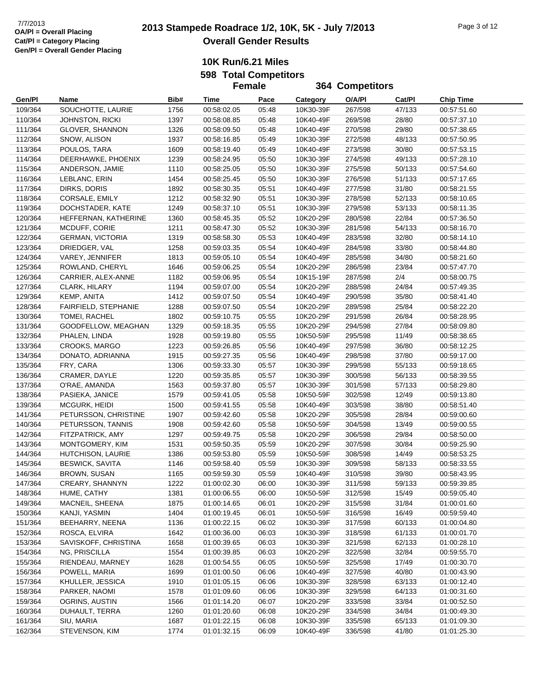#### **10K Run/6.21 Miles 598 Total Competitors Female**

|                    |                                       |              | <b>Female</b>              |                |                        | 364 Competitors    |                  |                            |
|--------------------|---------------------------------------|--------------|----------------------------|----------------|------------------------|--------------------|------------------|----------------------------|
| Gen/Pl             | Name                                  | Bib#         | Time                       | Pace           | Category               | O/A/PI             | Cat/PI           | <b>Chip Time</b>           |
| 109/364            | SOUCHOTTE, LAURIE                     | 1756         | 00:58:02.05                | 05:48          | 10K30-39F              | 267/598            | 47/133           | 00:57:51.60                |
| 110/364            | <b>JOHNSTON, RICKI</b>                | 1397         | 00:58:08.85                | 05:48          | 10K40-49F              | 269/598            | 28/80            | 00:57:37.10                |
| 111/364            | GLOVER, SHANNON                       | 1326         | 00:58:09.50                | 05:48          | 10K40-49F              | 270/598            | 29/80            | 00:57:38.65                |
| 112/364            | SNOW, ALISON                          | 1937         | 00:58:16.85                | 05:49          | 10K30-39F              | 272/598            | 48/133           | 00:57:50.95                |
| 113/364            | POULOS, TARA                          | 1609         | 00:58:19.40                | 05:49          | 10K40-49F              | 273/598            | 30/80            | 00:57:53.15                |
| 114/364            | DEERHAWKE, PHOENIX                    | 1239         | 00:58:24.95                | 05:50          | 10K30-39F              | 274/598            | 49/133           | 00:57:28.10                |
| 115/364            | ANDERSON, JAMIE                       | 1110         | 00:58:25.05                | 05:50          | 10K30-39F              | 275/598            | 50/133           | 00:57:54.60                |
| 116/364            | LEBLANC, ERIN                         | 1454         | 00:58:25.45                | 05:50          | 10K30-39F              | 276/598            | 51/133           | 00:57:17.65                |
| 117/364            | DIRKS, DORIS                          | 1892         | 00:58:30.35                | 05:51          | 10K40-49F              | 277/598            | 31/80            | 00:58:21.55                |
| 118/364            | CORSALE, EMILY                        | 1212         | 00:58:32.90                | 05:51          | 10K30-39F              | 278/598            | 52/133           | 00:58:10.65                |
| 119/364            | DOCHSTADER, KATE                      | 1249         | 00:58:37.10                | 05:51          | 10K30-39F              | 279/598            | 53/133           | 00:58:11.35                |
| 120/364            | HEFFERNAN, KATHERINE                  | 1360         | 00:58:45.35                | 05:52          | 10K20-29F              | 280/598            | 22/84            | 00:57:36.50                |
| 121/364            | MCDUFF, CORIE                         | 1211         | 00:58:47.30                | 05:52          | 10K30-39F              | 281/598            | 54/133           | 00:58:16.70                |
| 122/364            | <b>GERMAN, VICTORIA</b>               | 1319         | 00:58:58.30                | 05:53          | 10K40-49F              | 283/598            | 32/80            | 00:58:14.10                |
| 123/364            | DRIEDGER, VAL                         | 1258         | 00:59:03.35                | 05:54          | 10K40-49F              | 284/598            | 33/80            | 00:58:44.80                |
| 124/364            | VAREY, JENNIFER                       | 1813         | 00:59:05.10                | 05:54          | 10K40-49F              | 285/598            | 34/80            | 00:58:21.60                |
| 125/364            | ROWLAND, CHERYL                       | 1646         | 00:59:06.25                | 05:54          | 10K20-29F              | 286/598            | 23/84            | 00:57:47.70                |
| 126/364            | CARRIER, ALEX-ANNE                    | 1182         | 00:59:06.95                | 05:54          | 10K15-19F              | 287/598            | 2/4              | 00:58:00.75                |
| 127/364            | CLARK, HILARY                         | 1194         | 00:59:07.00                | 05:54          | 10K20-29F              | 288/598            | 24/84            | 00:57:49.35                |
| 129/364            | KEMP, ANITA                           | 1412         | 00:59:07.50                | 05:54          | 10K40-49F              | 290/598            | 35/80            | 00:58:41.40                |
| 128/364            | FAIRFIELD, STEPHANIE                  | 1288         | 00:59:07.50                | 05:54          | 10K20-29F              | 289/598            | 25/84            | 00:58:22.20                |
| 130/364            | TOMEI, RACHEL                         | 1802         | 00:59:10.75                | 05:55          | 10K20-29F              | 291/598            | 26/84            | 00:58:28.95                |
| 131/364            | GOODFELLOW, MEAGHAN                   | 1329         | 00:59:18.35                | 05:55          | 10K20-29F              | 294/598            | 27/84            | 00:58:09.80                |
| 132/364            | PHALEN, LINDA                         | 1928         | 00:59:19.80                | 05:55          | 10K50-59F              | 295/598            | 11/49            | 00:58:38.65                |
| 133/364            | CROOKS, MARGO                         | 1223         | 00:59:26.85                | 05:56          | 10K40-49F              | 297/598            | 36/80            | 00:58:12.25                |
| 134/364            | DONATO, ADRIANNA                      | 1915         | 00:59:27.35                | 05:56          | 10K40-49F              | 298/598            | 37/80            | 00:59:17.00                |
| 135/364            | FRY, CARA                             | 1306         | 00:59:33.30                | 05:57          | 10K30-39F              | 299/598            | 55/133           | 00:59:18.65                |
| 136/364            | CRAMER, DAYLE                         | 1220         | 00:59:35.85                | 05:57          | 10K30-39F              | 300/598            | 56/133           | 00:58:39.55                |
| 137/364            | O'RAE, AMANDA                         | 1563         | 00:59:37.80                | 05:57          | 10K30-39F              | 301/598            | 57/133           | 00:58:29.80                |
| 138/364            | PASIEKA, JANICE                       | 1579         | 00:59:41.05                | 05:58          | 10K50-59F              | 302/598            | 12/49            | 00:59:13.80                |
| 139/364            | MCGURK, HEIDI                         | 1500         | 00:59:41.55                | 05:58          | 10K40-49F              | 303/598            | 38/80            | 00:58:51.40                |
| 141/364            | PETURSSON, CHRISTINE                  | 1907         | 00:59:42.60                | 05:58          | 10K20-29F              | 305/598            | 28/84            | 00:59:00.60                |
| 140/364            | PETURSSON, TANNIS                     | 1908         | 00:59:42.60                | 05:58          | 10K50-59F              | 304/598            | 13/49            | 00:59:00.55                |
| 142/364            | FITZPATRICK, AMY                      | 1297         | 00:59:49.75                | 05:58          | 10K20-29F              | 306/598            | 29/84            | 00:58:50.00                |
| 143/364            | MONTGOMERY, KIM                       | 1531         | 00:59:50.35                | 05:59          | 10K20-29F              | 307/598            | 30/84            | 00:59:25.90                |
| 144/364            | HUTCHISON, LAURIE                     | 1386         | 00:59:53.80                | 05:59          | 10K50-59F              | 308/598            | 14/49            | 00:58:53.25                |
| 145/364            | <b>BESWICK, SAVITA</b>                | 1146         | 00:59:58.40                | 05:59          | 10K30-39F              | 309/598            | 58/133           | 00:58:33.55                |
| 146/364            | BROWN, SUSAN                          | 1165         | 00:59:59.30                | 05:59          | 10K40-49F              | 310/598            | 39/80            | 00:58:43.95                |
| 147/364            | CREARY, SHANNYN                       | 1222         | 01:00:02.30                | 06:00          | 10K30-39F              | 311/598            | 59/133           | 00:59:39.85                |
| 148/364            | HUME, CATHY                           | 1381         | 01:00:06.55                | 06:00          | 10K50-59F              | 312/598            | 15/49            | 00:59:05.40                |
| 149/364            | MACNEIL, SHEENA                       | 1875         | 01:00:14.65                | 06:01          | 10K20-29F              | 315/598            | 31/84            | 01:00:01.60                |
| 150/364            | KANJI, YASMIN                         | 1404         | 01:00:19.45                | 06:01          | 10K50-59F<br>10K30-39F | 316/598            | 16/49            | 00:59:59.40                |
| 151/364<br>152/364 | BEEHARRY, NEENA<br>ROSCA, ELVIRA      | 1136<br>1642 | 01:00:22.15<br>01:00:36.00 | 06:02<br>06:03 | 10K30-39F              | 317/598            | 60/133<br>61/133 | 01:00:04.80<br>01:00:01.70 |
| 153/364            |                                       |              | 01:00:39.65                | 06:03          | 10K30-39F              | 318/598            | 62/133           | 01:00:28.10                |
|                    | SAVISKOFF, CHRISTINA<br>NG, PRISCILLA | 1658<br>1554 | 01:00:39.85                | 06:03          | 10K20-29F              | 321/598<br>322/598 | 32/84            | 00:59:55.70                |
| 154/364<br>155/364 | RIENDEAU, MARNEY                      | 1628         | 01:00:54.55                | 06:05          | 10K50-59F              | 325/598            | 17/49            | 01:00:30.70                |
| 156/364            | POWELL, MARIA                         | 1699         | 01:01:00.50                | 06:06          | 10K40-49F              | 327/598            | 40/80            | 01:00:43.90                |
| 157/364            | KHULLER, JESSICA                      | 1910         | 01:01:05.15                | 06:06          | 10K30-39F              | 328/598            | 63/133           | 01:00:12.40                |
| 158/364            | PARKER, NAOMI                         | 1578         | 01:01:09.60                | 06:06          | 10K30-39F              | 329/598            | 64/133           | 01:00:31.60                |
| 159/364            | OGRINS, AUSTIN                        | 1566         | 01:01:14.20                | 06:07          | 10K20-29F              | 333/598            | 33/84            | 01:00:52.50                |
| 160/364            | DUHAULT, TERRA                        | 1260         | 01:01:20.60                | 06:08          | 10K20-29F              | 334/598            | 34/84            | 01:00:49.30                |
| 161/364            | SIU, MARIA                            | 1687         | 01:01:22.15                | 06:08          | 10K30-39F              | 335/598            | 65/133           | 01:01:09.30                |
| 162/364            | STEVENSON, KIM                        | 1774         | 01:01:32.15                | 06:09          | 10K40-49F              | 336/598            | 41/80            | 01:01:25.30                |
|                    |                                       |              |                            |                |                        |                    |                  |                            |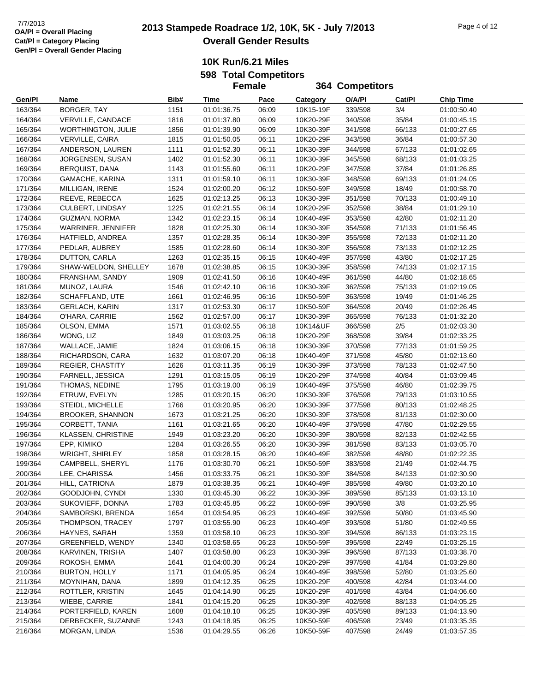### **10K Run/6.21 Miles 598 Total Competitors Female**

|                    |                                     |              | <b>Female</b>              |                |                        | <b>364 Competitors</b> |                |                            |
|--------------------|-------------------------------------|--------------|----------------------------|----------------|------------------------|------------------------|----------------|----------------------------|
| Gen/Pl             | Name                                | Bib#         | Time                       | Pace           | Category               | O/A/PI                 | Cat/PI         | <b>Chip Time</b>           |
| 163/364            | BORGER, TAY                         | 1151         | 01:01:36.75                | 06:09          | 10K15-19F              | 339/598                | 3/4            | 01:00:50.40                |
| 164/364            | VERVILLE, CANDACE                   | 1816         | 01:01:37.80                | 06:09          | 10K20-29F              | 340/598                | 35/84          | 01:00:45.15                |
| 165/364            | <b>WORTHINGTON, JULIE</b>           | 1856         | 01:01:39.90                | 06:09          | 10K30-39F              | 341/598                | 66/133         | 01:00:27.65                |
| 166/364            | <b>VERVILLE, CAIRA</b>              | 1815         | 01:01:50.05                | 06:11          | 10K20-29F              | 343/598                | 36/84          | 01:00:57.30                |
| 167/364            | ANDERSON, LAUREN                    | 1111         | 01:01:52.30                | 06:11          | 10K30-39F              | 344/598                | 67/133         | 01:01:02.65                |
| 168/364            | JORGENSEN, SUSAN                    | 1402         | 01:01:52.30                | 06:11          | 10K30-39F              | 345/598                | 68/133         | 01:01:03.25                |
| 169/364            | <b>BERQUIST, DANA</b>               | 1143         | 01:01:55.60                | 06:11          | 10K20-29F              | 347/598                | 37/84          | 01:01:26.85                |
| 170/364            | GAMACHE, KARINA                     | 1311         | 01:01:59.10                | 06:11          | 10K30-39F              | 348/598                | 69/133         | 01:01:24.05                |
| 171/364            | MILLIGAN, IRENE                     | 1524         | 01:02:00.20                | 06:12          | 10K50-59F              | 349/598                | 18/49          | 01:00:58.70                |
| 172/364            | REEVE, REBECCA                      | 1625         | 01:02:13.25                | 06:13          | 10K30-39F              | 351/598                | 70/133         | 01:00:49.10                |
| 173/364            | CULBERT, LINDSAY                    | 1225         | 01:02:21.55                | 06:14          | 10K20-29F              | 352/598                | 38/84          | 01:01:29.10                |
| 174/364            | <b>GUZMAN, NORMA</b>                | 1342         | 01:02:23.15                | 06:14          | 10K40-49F              | 353/598                | 42/80          | 01:02:11.20                |
| 175/364            | WARRINER, JENNIFER                  | 1828         | 01:02:25.30                | 06:14          | 10K30-39F              | 354/598                | 71/133         | 01:01:56.45                |
| 176/364            | HATFIELD, ANDREA                    | 1357         | 01:02:28.35                | 06:14          | 10K30-39F              | 355/598                | 72/133         | 01:02:11.20                |
| 177/364            | PEDLAR, AUBREY                      | 1585         | 01:02:28.60                | 06:14          | 10K30-39F              | 356/598                | 73/133         | 01:02:12.25                |
| 178/364            | DUTTON, CARLA                       | 1263         | 01:02:35.15                | 06:15          | 10K40-49F              | 357/598                | 43/80          | 01:02:17.25                |
| 179/364            | SHAW-WELDON, SHELLEY                | 1678         | 01:02:38.85                | 06:15          | 10K30-39F              | 358/598                | 74/133         | 01:02:17.15                |
| 180/364            | FRANSHAM, SANDY                     | 1909         | 01:02:41.50                | 06:16          | 10K40-49F              | 361/598                | 44/80          | 01:02:18.65                |
| 181/364            | MUNOZ, LAURA                        | 1546         | 01:02:42.10                | 06:16          | 10K30-39F              | 362/598                | 75/133         | 01:02:19.05                |
| 182/364            | SCHAFFLAND, UTE                     | 1661         | 01:02:46.95                | 06:16          | 10K50-59F              | 363/598                | 19/49          | 01:01:46.25                |
| 183/364            | <b>GERLACH, KARIN</b>               | 1317         | 01:02:53.30                | 06:17          | 10K50-59F              | 364/598                | 20/49          | 01:02:26.45                |
| 184/364            | O'HARA, CARRIE                      | 1562         | 01:02:57.00                | 06:17          | 10K30-39F              | 365/598                | 76/133         | 01:01:32.20                |
| 185/364            | OLSON, EMMA                         | 1571         | 01:03:02.55                | 06:18          | 10K14&UF               | 366/598                | $2/5$          | 01:02:03.30                |
| 186/364            | WONG, LIZ                           | 1849         | 01:03:03.25                | 06:18          | 10K20-29F              | 368/598                | 39/84          | 01:02:33.25                |
| 187/364            | WALLACE, JAMIE                      | 1824         | 01:03:06.15                | 06:18          | 10K30-39F              | 370/598                | 77/133         | 01:01:59.25                |
| 188/364            | RICHARDSON, CARA                    | 1632         | 01:03:07.20                | 06:18          | 10K40-49F              | 371/598                | 45/80          | 01:02:13.60                |
| 189/364            | <b>REGIER, CHASTITY</b>             | 1626         | 01:03:11.35                | 06:19          | 10K30-39F              | 373/598                | 78/133         | 01:02:47.50                |
| 190/364            | FARNELL, JESSICA                    | 1291         | 01:03:15.05                | 06:19          | 10K20-29F              | 374/598                | 40/84          | 01:03:09.45                |
| 191/364            | THOMAS, NEDINE                      | 1795         | 01:03:19.00                | 06:19          | 10K40-49F              | 375/598                | 46/80          | 01:02:39.75                |
| 192/364            | ETRUW, EVELYN                       | 1285         | 01:03:20.15                | 06:20          | 10K30-39F              | 376/598                | 79/133         | 01:03:10.55                |
| 193/364            | STEIDL, MICHELLE                    | 1766         | 01:03:20.95                | 06:20          | 10K30-39F              | 377/598                | 80/133         | 01:02:48.25                |
| 194/364            | <b>BROOKER, SHANNON</b>             | 1673         | 01:03:21.25                | 06:20          | 10K30-39F              | 378/598                | 81/133         | 01:02:30.00                |
| 195/364            | CORBETT, TANIA                      | 1161         | 01:03:21.65                | 06:20          | 10K40-49F              | 379/598                | 47/80          | 01:02:29.55                |
| 196/364            | KLASSEN, CHRISTINE                  | 1949         | 01:03:23.20                | 06:20          | 10K30-39F              | 380/598                | 82/133         | 01:02:42.55                |
| 197/364            | EPP, KIMIKO                         | 1284         | 01:03:26.55                | 06:20          | 10K30-39F              | 381/598                | 83/133         | 01:03:05.70                |
| 198/364            | <b>WRIGHT, SHIRLEY</b>              | 1858         | 01:03:28.15                | 06:20          | 10K40-49F              | 382/598                | 48/80          | 01:02:22.35                |
| 199/364            | CAMPBELL, SHERYL                    | 1176         | 01:03:30.70                | 06:21          | 10K50-59F              | 383/598                | 21/49          | 01:02:44.75                |
| 200/364            | LEE, CHARISSA                       | 1456         | 01:03:33.75                | 06:21          | 10K30-39F              | 384/598                | 84/133         | 01:02:30.90                |
| 201/364            | HILL, CATRIONA                      | 1879         | 01:03:38.35                | 06:21          | 10K40-49F              | 385/598                | 49/80          | 01:03:20.10                |
| 202/364            | GOODJOHN, CYNDI                     | 1330         | 01:03:45.30                | 06:22          | 10K30-39F              | 389/598                | 85/133         | 01:03:13.10                |
| 203/364            | SUKOVIEFF, DONNA                    | 1783         | 01:03:45.85                | 06:22          | 10K60-69F              | 390/598                | 3/8            | 01:03:25.95                |
| 204/364            | SAMBORSKI, BRENDA                   | 1654         | 01:03:54.95                | 06:23          | 10K40-49F              | 392/598                | 50/80          | 01:03:45.90                |
| 205/364            | THOMPSON, TRACEY                    | 1797         | 01:03:55.90                | 06:23          | 10K40-49F              | 393/598                | 51/80          | 01:02:49.55                |
| 206/364            | HAYNES, SARAH                       | 1359         | 01:03:58.10                | 06:23          | 10K30-39F              | 394/598                | 86/133         | 01:03:23.15                |
| 207/364            | GREENFIELD, WENDY                   | 1340         | 01:03:58.65                | 06:23          | 10K50-59F              | 395/598                | 22/49          | 01:03:25.15                |
| 208/364            | KARVINEN, TRISHA                    | 1407         | 01:03:58.80                | 06:23          | 10K30-39F              | 396/598                | 87/133         | 01:03:38.70                |
| 209/364            | ROKOSH, EMMA                        | 1641         | 01:04:00.30                | 06:24          | 10K20-29F              | 397/598                | 41/84          | 01:03:29.80                |
| 210/364            | <b>BURTON, HOLLY</b>                | 1171         | 01:04:05.95                | 06:24          | 10K40-49F              | 398/598                | 52/80          | 01:03:25.60                |
| 211/364            | MOYNIHAN, DANA                      | 1899         | 01:04:12.35                | 06:25          | 10K20-29F              | 400/598                | 42/84          | 01:03:44.00                |
| 212/364            | ROTTLER, KRISTIN                    | 1645         | 01:04:14.90                | 06:25          | 10K20-29F              | 401/598                | 43/84          | 01:04:06.60                |
| 213/364            | WIEBE, CARRIE                       | 1841         | 01:04:15.20                | 06:25          | 10K30-39F              | 402/598                | 88/133         | 01:04:05.25                |
| 214/364            | PORTERFIELD, KAREN                  | 1608<br>1243 | 01:04:18.10                | 06:25          | 10K30-39F<br>10K50-59F | 405/598                | 89/133         | 01:04:13.90                |
| 215/364<br>216/364 | DERBECKER, SUZANNE<br>MORGAN, LINDA | 1536         | 01:04:18.95<br>01:04:29.55 | 06:25<br>06:26 | 10K50-59F              | 406/598<br>407/598     | 23/49<br>24/49 | 01:03:35.35<br>01:03:57.35 |
|                    |                                     |              |                            |                |                        |                        |                |                            |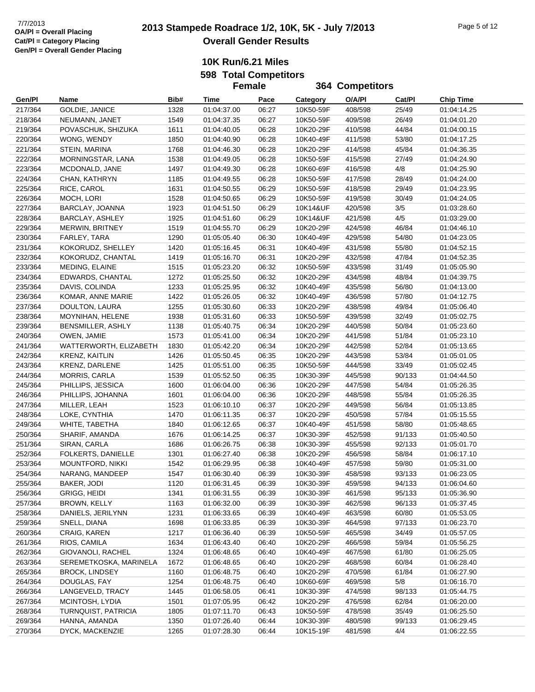#### **10K Run/6.21 Miles 598 Total Competitors Female**

|                    |                                  |              | <b>Female</b>              |                |                        | <b>364 Competitors</b> |                 |                            |
|--------------------|----------------------------------|--------------|----------------------------|----------------|------------------------|------------------------|-----------------|----------------------------|
| Gen/Pl             | Name                             | Bib#         | Time                       | Pace           | Category               | O/A/PI                 | Cat/PI          | <b>Chip Time</b>           |
| 217/364            | GOLDIE, JANICE                   | 1328         | 01:04:37.00                | 06:27          | 10K50-59F              | 408/598                | 25/49           | 01:04:14.25                |
| 218/364            | NEUMANN, JANET                   | 1549         | 01:04:37.35                | 06:27          | 10K50-59F              | 409/598                | 26/49           | 01:04:01.20                |
| 219/364            | POVASCHUK, SHIZUKA               | 1611         | 01:04:40.05                | 06:28          | 10K20-29F              | 410/598                | 44/84           | 01:04:00.15                |
| 220/364            | WONG, WENDY                      | 1850         | 01:04:40.90                | 06:28          | 10K40-49F              | 411/598                | 53/80           | 01:04:17.25                |
| 221/364            | STEIN, MARINA                    | 1768         | 01:04:46.30                | 06:28          | 10K20-29F              | 414/598                | 45/84           | 01:04:36.35                |
| 222/364            | MORNINGSTAR, LANA                | 1538         | 01:04:49.05                | 06:28          | 10K50-59F              | 415/598                | 27/49           | 01:04:24.90                |
| 223/364            | MCDONALD, JANE                   | 1497         | 01:04:49.30                | 06:28          | 10K60-69F              | 416/598                | 4/8             | 01:04:25.90                |
| 224/364            | CHAN, KATHRYN                    | 1185         | 01:04:49.55                | 06:28          | 10K50-59F              | 417/598                | 28/49           | 01:04:24.00                |
| 225/364            | RICE, CAROL                      | 1631         | 01:04:50.55                | 06:29          | 10K50-59F              | 418/598                | 29/49           | 01:04:23.95                |
| 226/364            | MOCH, LORI                       | 1528         | 01:04:50.65                | 06:29          | 10K50-59F              | 419/598                | 30/49           | 01:04:24.05                |
| 227/364            | BARCLAY, JOANNA                  | 1923         | 01:04:51.50                | 06:29          | 10K14&UF               | 420/598                | 3/5             | 01:03:28.60                |
| 228/364            | BARCLAY, ASHLEY                  | 1925         | 01:04:51.60                | 06:29          | 10K14&UF               | 421/598                | 4/5             | 01:03:29.00                |
| 229/364            | <b>MERWIN, BRITNEY</b>           | 1519         | 01:04:55.70                | 06:29          | 10K20-29F              | 424/598                | 46/84           | 01:04:46.10                |
| 230/364            | FARLEY, TARA                     | 1290         | 01:05:05.40                | 06:30          | 10K40-49F              | 429/598                | 54/80           | 01:04:23.05                |
| 231/364            | KOKORUDZ, SHELLEY                | 1420         | 01:05:16.45                | 06:31          | 10K40-49F              | 431/598                | 55/80           | 01:04:52.15                |
| 232/364            | KOKORUDZ, CHANTAL                | 1419         | 01:05:16.70                | 06:31          | 10K20-29F              | 432/598                | 47/84           | 01:04:52.35                |
| 233/364            | MEDING, ELAINE                   | 1515         | 01:05:23.20                | 06:32          | 10K50-59F              | 433/598                | 31/49           | 01:05:05.90                |
| 234/364            | EDWARDS, CHANTAL                 | 1272         | 01:05:25.50                | 06:32          | 10K20-29F              | 434/598                | 48/84           | 01:04:39.75                |
| 235/364            | DAVIS, COLINDA                   | 1233         | 01:05:25.95                | 06:32          | 10K40-49F              | 435/598                | 56/80           | 01:04:13.00                |
| 236/364            | KOMAR, ANNE MARIE                | 1422         | 01:05:26.05                | 06:32          | 10K40-49F              | 436/598                | 57/80           | 01:04:12.75                |
| 237/364            | DOULTON, LAURA                   | 1255         | 01:05:30.60                | 06:33          | 10K20-29F              | 438/598                | 49/84           | 01:05:06.40                |
| 238/364            | MOYNIHAN, HELENE                 | 1938         | 01:05:31.60                | 06:33          | 10K50-59F              | 439/598                | 32/49           | 01:05:02.75                |
| 239/364            | BENSMILLER, ASHLY                | 1138         | 01:05:40.75                | 06:34          | 10K20-29F              | 440/598                | 50/84           | 01:05:23.60                |
| 240/364            | OWEN, JAMIE                      | 1573         | 01:05:41.00                | 06:34          | 10K20-29F              | 441/598                | 51/84           | 01:05:23.10                |
| 241/364            | WATTERWORTH, ELIZABETH           | 1830         | 01:05:42.20                | 06:34          | 10K20-29F              | 442/598                | 52/84           | 01:05:13.65                |
| 242/364            | KRENZ, KAITLIN                   | 1426         | 01:05:50.45                | 06:35          | 10K20-29F              | 443/598                | 53/84           | 01:05:01.05                |
| 243/364            | <b>KRENZ, DARLENE</b>            | 1425         | 01:05:51.00                | 06:35          | 10K50-59F              | 444/598                | 33/49           | 01:05:02.45                |
| 244/364            | MORRIS, CARLA                    | 1539         | 01:05:52.50                | 06:35          | 10K30-39F              | 445/598                | 90/133          | 01:04:44.50                |
| 245/364            | PHILLIPS, JESSICA                | 1600         | 01:06:04.00                | 06:36          | 10K20-29F              | 447/598                | 54/84           | 01:05:26.35                |
| 246/364            | PHILLIPS, JOHANNA                | 1601         | 01:06:04.00                | 06:36          | 10K20-29F              | 448/598                | 55/84           | 01:05:26.35                |
| 247/364            | MILLER, LEAH                     | 1523         | 01:06:10.10                | 06:37          | 10K20-29F              | 449/598                | 56/84           | 01:05:13.85                |
| 248/364            | LOKE, CYNTHIA                    | 1470         | 01:06:11.35                | 06:37          | 10K20-29F              | 450/598                | 57/84           | 01:05:15.55                |
| 249/364            | WHITE, TABETHA                   | 1840         | 01:06:12.65                | 06:37          | 10K40-49F              | 451/598                | 58/80           | 01:05:48.65                |
| 250/364            | SHARIF, AMANDA                   | 1676         | 01:06:14.25                | 06:37          | 10K30-39F              | 452/598                | 91/133          | 01:05:40.50                |
| 251/364            | SIRAN, CARLA                     | 1686         | 01:06:26.75                | 06:38          | 10K30-39F              | 455/598                | 92/133          | 01:05:01.70                |
| 252/364            | FOLKERTS, DANIELLE               | 1301         | 01:06:27.40                | 06:38          | 10K20-29F              | 456/598                | 58/84           | 01:06:17.10                |
| 253/364            | MOUNTFORD, NIKKI                 | 1542         | 01:06:29.95                | 06:38          | 10K40-49F              | 457/598                | 59/80           | 01:05:31.00                |
| 254/364            | NARANG, MANDEEP                  | 1547         | 01:06:30.40                | 06:39          | 10K30-39F              | 458/598                | 93/133          | 01:06:23.05                |
| 255/364            | BAKER, JODI                      | 1120         | 01:06:31.45                | 06:39          | 10K30-39F              | 459/598                | 94/133          | 01:06:04.60                |
| 256/364            | GRIGG, HEIDI                     | 1341         | 01:06:31.55                | 06:39          | 10K30-39F              | 461/598                | 95/133          | 01:05:36.90                |
| 257/364            | BROWN, KELLY                     | 1163         | 01:06:32.00                | 06:39          | 10K30-39F              | 462/598                | 96/133          | 01:05:37.45                |
| 258/364            | DANIELS, JERILYNN                | 1231         | 01:06:33.65                | 06:39          | 10K40-49F              | 463/598                | 60/80           | 01:05:53.05                |
| 259/364            | SNELL, DIANA                     | 1698         | 01:06:33.85<br>01:06:36.40 | 06:39          | 10K30-39F              | 464/598                | 97/133          | 01:06:23.70                |
| 260/364            | CRAIG, KAREN                     | 1217         |                            | 06:39          | 10K50-59F              | 465/598                | 34/49           | 01:05:57.05                |
| 261/364            | RIOS, CAMILA                     | 1634         | 01:06:43.40                | 06:40          | 10K20-29F              | 466/598                | 59/84           | 01:05:56.25                |
| 262/364            | GIOVANOLI, RACHEL                | 1324         | 01:06:48.65                | 06:40          | 10K40-49F              | 467/598                | 61/80           | 01:06:25.05                |
| 263/364            | SEREMETKOSKA, MARINELA           | 1672         | 01:06:48.65                | 06:40          | 10K20-29F              | 468/598<br>470/598     | 60/84           | 01:06:28.40                |
| 265/364            | <b>BROCK, LINDSEY</b>            | 1160         | 01:06:48.75                | 06:40          | 10K20-29F              |                        | 61/84           | 01:06:27.90                |
| 264/364<br>266/364 | DOUGLAS, FAY<br>LANGEVELD, TRACY | 1254<br>1445 | 01:06:48.75                | 06:40<br>06:41 | 10K60-69F<br>10K30-39F | 469/598<br>474/598     | $5/8$<br>98/133 | 01:06:16.70                |
| 267/364            | MCINTOSH, LYDIA                  |              | 01:06:58.05<br>01:07:05.95 | 06:42          | 10K20-29F              |                        | 62/84           | 01:05:44.75                |
| 268/364            | TURNQUIST, PATRICIA              | 1501<br>1805 | 01:07:11.70                | 06:43          | 10K50-59F              | 476/598<br>478/598     | 35/49           | 01:06:20.00<br>01:06:25.50 |
| 269/364            | HANNA, AMANDA                    | 1350         | 01:07:26.40                | 06:44          | 10K30-39F              | 480/598                | 99/133          | 01:06:29.45                |
| 270/364            | DYCK, MACKENZIE                  | 1265         | 01:07:28.30                | 06:44          | 10K15-19F              | 481/598                | 4/4             | 01:06:22.55                |
|                    |                                  |              |                            |                |                        |                        |                 |                            |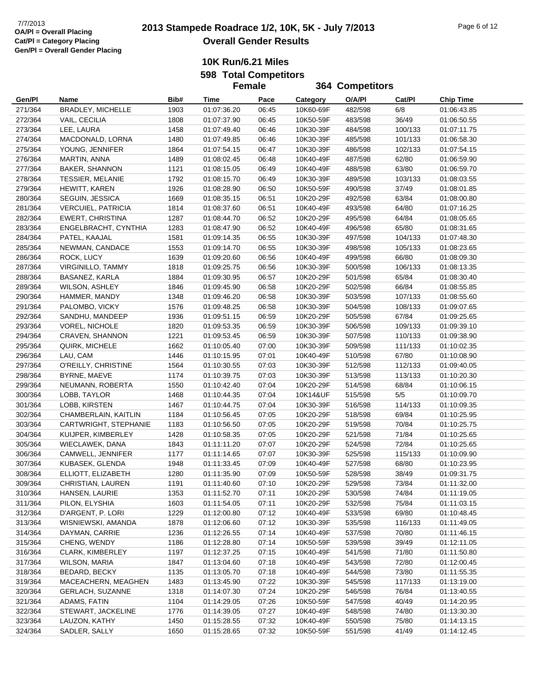**10K Run/6.21 Miles 598 Total Competitors**

**Female**

**Gen/Pl Name Bib# Time Pace Category O/A/Pl Cat/Pl Chip Time 364 Competitors** 271/364 BRADLEY, MICHELLE 1903 01:07:36.20 06:45 10K60-69F 482/598 6/8 01:06:43.85 272/364 VAIL, CECILIA 1808 01:07:37.90 06:45 10K50-59F 483/598 36/49 01:06:50.55 273/364 LEE, LAURA 1458 01:07:49.40 06:46 10K30-39F 484/598 100/133 01:07:11.75 274/364 MACDONALD, LORNA 1480 01:07:49.85 06:46 10K30-39F 485/598 101/133 01:06:58.30 275/364 YOUNG, JENNIFER 1864 01:07:54.15 06:47 10K30-39F 486/598 102/133 01:07:54.15 276/364 MARTIN, ANNA 1489 01:08:02.45 06:48 10K40-49F 487/598 62/80 01:06:59.90 277/364 BAKER, SHANNON 1121 01:08:15.05 06:49 10K40-49F 488/598 63/80 01:06:59.70 278/364 TESSIER, MELANIE 1792 01:08:15.70 06:49 10K30-39F 489/598 103/133 01:08:03.55 279/364 HEWITT, KAREN 1926 01:08:28.90 06:50 10K50-59F 490/598 37/49 01:08:01.85 280/364 SEGUIN, JESSICA 1669 01:08:35.15 06:51 10K20-29F 492/598 63/84 01:08:00.80 281/364 VERCUIEL, PATRICIA 1814 01:08:37.60 06:51 10K40-49F 493/598 64/80 01:07:16.25 282/364 EWERT, CHRISTINA 1287 01:08:44.70 06:52 10K20-29F 495/598 64/84 01:08:05.65 283/364 ENGELBRACHT, CYNTHIA 1283 01:08:47.90 06:52 10K40-49F 496/598 65/80 01:08:31.65 284/364 PATEL, KAAJAL 1581 01:09:14.35 06:55 10K30-39F 497/598 104/133 01:07:48.30 285/364 NEWMAN, CANDACE 1553 01:09:14.70 06:55 10K30-39F 498/598 105/133 01:08:23.65 286/364 ROCK, LUCY 1639 01:09:20.60 06:56 10K40-49F 499/598 66/80 01:08:09.30 287/364 VIRGINILLO, TAMMY 1818 01:09:25.75 06:56 10K30-39F 500/598 106/133 01:08:13.35 288/364 BASANEZ, KARLA 1884 01:09:30.95 06:57 10K20-29F 501/598 65/84 01:08:30.40 289/364 WILSON, ASHLEY 1846 01:09:45.90 06:58 10K20-29F 502/598 66/84 01:08:55.85 290/364 HAMMER, MANDY 1348 01:09:46.20 06:58 10K30-39F 503/598 107/133 01:08:55.60 291/364 PALOMBO, VICKY 1576 01:09:48.25 06:58 10K30-39F 504/598 108/133 01:09:07.65 292/364 SANDHU, MANDEEP 1936 01:09:51.15 06:59 10K20-29F 505/598 67/84 01:09:25.65 293/364 VOREL, NICHOLE 1820 01:09:53.35 06:59 10K30-39F 506/598 109/133 01:09:39.10 294/364 CRAVEN, SHANNON 1221 01:09:53.45 06:59 10K30-39F 507/598 110/133 01:09:38.90 295/364 QUIRK, MICHELE 1662 01:10:05.40 07:00 10K30-39F 509/598 111/133 01:10:02.35 296/364 LAU, CAM 1446 01:10:15.95 07:01 10K40-49F 510/598 67/80 01:10:08.90 297/364 O'REILLY, CHRISTINE 1564 01:10:30.55 07:03 10K30-39F 512/598 112/133 01:09:40.05 298/364 BYRNE, MAEVE 1174 01:10:39.75 07:03 10K30-39F 513/598 113/133 01:10:20.30 299/364 NEUMANN, ROBERTA 1550 01:10:42.40 07:04 10K20-29F 514/598 68/84 01:10:06.15 300/364 LOBB, TAYLOR 1468 01:10:44.35 07:04 10K14&UF 515/598 5/5 01:10:09.70 301/364 LOBB, KIRSTEN 1467 01:10:44.75 07:04 10K30-39F 516/598 114/133 01:10:09.35 302/364 CHAMBERLAIN, KAITLIN 1184 01:10:56.45 07:05 10K20-29F 518/598 69/84 01:10:25.95 303/364 CARTWRIGHT, STEPHANIE 1183 01:10:56.50 07:05 10K20-29F 519/598 70/84 01:10:25.75 304/364 KUIJPER, KIMBERLEY 1428 01:10:58.35 07:05 10K20-29F 521/598 71/84 01:10:25.65 305/364 WIECLAWEK, DANA 1843 01:11:11.20 07:07 10K20-29F 524/598 72/84 01:10:25.65 306/364 CAMWELL, JENNIFER 1177 01:11:14.65 07:07 10K30-39F 525/598 115/133 01:10:09.90 307/364 KUBASEK, GLENDA 1948 01:11:33.45 07:09 10K40-49F 527/598 68/80 01:10:23.95 308/364 ELLIOTT, ELIZABETH 1280 01:11:35.90 07:09 10K50-59F 528/598 38/49 01:09:31.75 309/364 CHRISTIAN, LAUREN 1191 01:11:40.60 07:10 10K20-29F 529/598 73/84 01:11:32.00 310/364 HANSEN, LAURIE 1353 01:11:52.70 07:11 10K20-29F 530/598 74/84 01:11:19.05 311/364 PILON, ELYSHIA 1603 01:11:54.05 07:11 10K20-29F 532/598 75/84 01:11:03.15 312/364 D'ARGENT, P. LORI 1229 01:12:00.80 07:12 10K40-49F 533/598 69/80 01:10:48.45 313/364 WISNIEWSKI, AMANDA 1878 01:12:06.60 07:12 10K30-39F 535/598 116/133 01:11:49.05 314/364 DAYMAN, CARRIE 1236 01:12:26.55 07:14 10K40-49F 537/598 70/80 01:11:46.15 315/364 CHENG, WENDY 1186 01:12:28.80 07:14 10K50-59F 539/598 39/49 01:12:11.05 316/364 CLARK, KIMBERLEY 1197 01:12:37.25 07:15 10K40-49F 541/598 71/80 01:11:50.80 317/364 WILSON, MARIA 1847 01:13:04.60 07:18 10K40-49F 543/598 72/80 01:12:00.45 318/364 BEDARD, BECKY 1135 01:13:05.70 07:18 10K40-49F 544/598 73/80 01:11:55.35 319/364 MACEACHERN, MEAGHEN 1483 01:13:45.90 07:22 10K30-39F 545/598 117/133 01:13:19.00 320/364 GERLACH, SUZANNE 1318 01:14:07.30 07:24 10K20-29F 546/598 76/84 01:13:40.55 321/364 ADAMS, FATIN 1104 01:14:29.05 07:26 10K50-59F 547/598 40/49 01:14:20.95 322/364 STEWART, JACKELINE 1776 01:14:39.05 07:27 10K40-49F 548/598 74/80 01:13:30.30 323/364 LAUZON, KATHY 1450 01:15:28.55 07:32 10K40-49F 550/598 75/80 01:14:13.15 324/364 SADLER, SALLY 1650 01:15:28.65 07:32 10K50-59F 551/598 41/49 01:14:12.45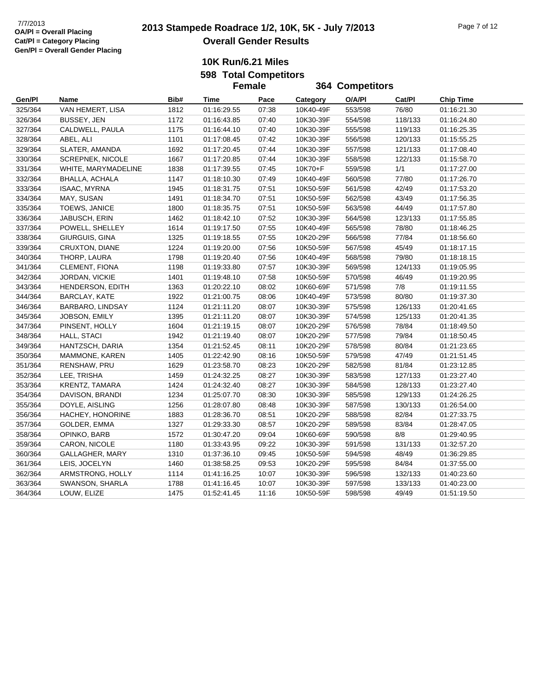# **2013 2013 Stampede Roadrace 1/2, 10K, 5K - July 7/2013** Page 7 of 12 **Overall Gender Results**

**364 Competitors**

**10K Run/6.21 Miles 598 Total Competitors**

**Female**

**Gen/Pl Name Bib# Time Pace Category O/A/Pl Cat/Pl Chip Time** 325/364 VAN HEMERT, LISA 1812 01:16:29.55 07:38 10K40-49F 553/598 76/80 01:16:21.30 326/364 BUSSEY, JEN 1172 01:16:43.85 07:40 10K30-39F 554/598 118/133 01:16:24.80 327/364 CALDWELL, PAULA 1175 01:16:44.10 07:40 10K30-39F 555/598 119/133 01:16:25.35 328/364 ABEL, ALI 1101 01:17:08.45 07:42 10K30-39F 556/598 120/133 01:15:55.25 329/364 SLATER, AMANDA 1692 01:17:20.45 07:44 10K30-39F 557/598 121/133 01:17:08.40 330/364 SCREPNEK, NICOLE 1667 01:17:20.85 07:44 10K30-39F 558/598 122/133 01:15:58.70 331/364 WHITE, MARYMADELINE 1838 01:17:39.55 07:45 10K70+F 559/598 1/1 01:17:27.00 332/364 BHALLA, ACHALA 1147 01:18:10.30 07:49 10K40-49F 560/598 77/80 01:17:26.70 333/364 ISAAC, MYRNA 1945 01:18:31.75 07:51 10K50-59F 561/598 42/49 01:17:53.20 334/364 MAY, SUSAN 1491 01:18:34.70 07:51 10K50-59F 562/598 43/49 01:17:56.35 335/364 TOEWS, JANICE 1800 01:18:35.75 07:51 10K50-59F 563/598 44/49 01:17:57.80 336/364 JABUSCH, ERIN 1462 01:18:42.10 07:52 10K30-39F 564/598 123/133 01:17:55.85 337/364 POWELL, SHELLEY 1614 01:19:17.50 07:55 10K40-49F 565/598 78/80 01:18:46.25 338/364 GIURGUIS, GINA 1325 01:19:18.55 07:55 10K20-29F 566/598 77/84 01:18:56.60 339/364 CRUXTON, DIANE 1224 01:19:20.00 07:56 10K50-59F 567/598 45/49 01:18:17.15 340/364 THORP, LAURA 1798 01:19:20.40 07:56 10K40-49F 568/598 79/80 01:18:18.15 341/364 CLEMENT, FIONA 1198 01:19:33.80 07:57 10K30-39F 569/598 124/133 01:19:05.95 342/364 JORDAN, VICKIE 1401 01:19:48.10 07:58 10K50-59F 570/598 46/49 01:19:20.95 343/364 HENDERSON, EDITH 1363 01:20:22.10 08:02 10K60-69F 571/598 7/8 01:19:11.55 344/364 BARCLAY, KATE 1922 01:21:00.75 08:06 10K40-49F 573/598 80/80 01:19:37.30 346/364 BARBARO, LINDSAY 1124 01:21:11.20 08:07 10K30-39F 575/598 126/133 01:20:41.65 345/364 JOBSON, EMILY 1395 01:21:11.20 08:07 10K30-39F 574/598 125/133 01:20:41.35 347/364 PINSENT, HOLLY 1604 01:21:19.15 08:07 10K20-29F 576/598 78/84 01:18:49.50 348/364 HALL, STACI 1942 01:21:19.40 08:07 10K20-29F 577/598 79/84 01:18:50.45 349/364 HANTZSCH, DARIA 1354 01:21:52.45 08:11 10K20-29F 578/598 80/84 01:21:23.65 350/364 MAMMONE, KAREN 1405 01:22:42.90 08:16 10K50-59F 579/598 47/49 01:21:51.45 351/364 RENSHAW, PRU 1629 01:23:58.70 08:23 10K20-29F 582/598 81/84 01:23:12.85 352/364 LEE, TRISHA 1459 01:24:32.25 08:27 10K30-39F 583/598 127/133 01:23:27.40 353/364 KRENTZ, TAMARA 1424 01:24:32.40 08:27 10K30-39F 584/598 128/133 01:23:27.40 354/364 DAVISON, BRANDI 1234 01:25:07.70 08:30 10K30-39F 585/598 129/133 01:24:26.25 355/364 DOYLE, AISLING 1256 01:28:07.80 08:48 10K30-39F 587/598 130/133 01:26:54.00 356/364 HACHEY, HONORINE 1883 01:28:36.70 08:51 10K20-29F 588/598 82/84 01:27:33.75 357/364 GOLDER, EMMA 1327 01:29:33.30 08:57 10K20-29F 589/598 83/84 01:28:47.05 358/364 OPINKO, BARB 1572 01:30:47.20 09:04 10K60-69F 590/598 8/8 01:29:40.95 359/364 CARON, NICOLE 1180 01:33:43.95 09:22 10K30-39F 591/598 131/133 01:32:57.20 360/364 GALLAGHER, MARY 1310 01:37:36.10 09:45 10K50-59F 594/598 48/49 01:36:29.85 361/364 LEIS, JOCELYN 1460 01:38:58.25 09:53 10K20-29F 595/598 84/84 01:37:55.00 362/364 ARMSTRONG, HOLLY 1114 01:41:16.25 10:07 10K30-39F 596/598 132/133 01:40:23.60 363/364 SWANSON, SHARLA 1788 01:41:16.45 10:07 10K30-39F 597/598 133/133 01:40:23.00 364/364 LOUW, ELIZE 1475 01:52:41.45 11:16 10K50-59F 598/598 49/49 01:51:19.50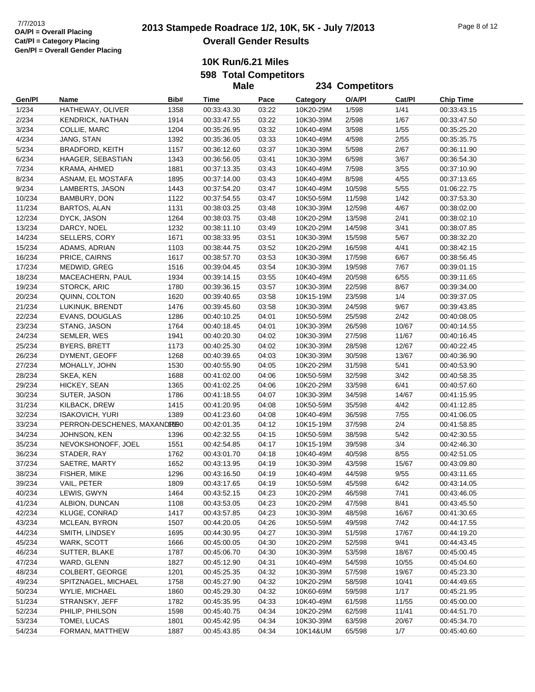# **2013 Stampede Roadrace 1/2, 10K, 5K - July 7/2013** 7/7/2013 Page 8 of 12 **Overall Gender Results**

**10K Run/6.21 Miles 598 Total Competitors**

|        |                             |      | <b>Male</b> |       |                 | 234 Competitors |        |                  |
|--------|-----------------------------|------|-------------|-------|-----------------|-----------------|--------|------------------|
| Gen/Pl | Name                        | Bib# | Time        | Pace  | <b>Category</b> | O/A/PI          | Cat/Pl | <b>Chip Time</b> |
| 1/234  | HATHEWAY, OLIVER            | 1358 | 00:33:43.30 | 03:22 | 10K20-29M       | 1/598           | 1/41   | 00:33:43.15      |
| 2/234  | KENDRICK, NATHAN            | 1914 | 00:33:47.55 | 03:22 | 10K30-39M       | 2/598           | 1/67   | 00:33:47.50      |
| 3/234  | COLLIE, MARC                | 1204 | 00:35:26.95 | 03:32 | 10K40-49M       | 3/598           | 1/55   | 00:35:25.20      |
| 4/234  | JANG, STAN                  | 1392 | 00:35:36.05 | 03:33 | 10K40-49M       | 4/598           | 2/55   | 00:35:35.75      |
| 5/234  | <b>BRADFORD, KEITH</b>      | 1157 | 00:36:12.60 | 03:37 | 10K30-39M       | 5/598           | 2/67   | 00:36:11.90      |
| 6/234  | HAAGER, SEBASTIAN           | 1343 | 00:36:56.05 | 03:41 | 10K30-39M       | 6/598           | 3/67   | 00:36:54.30      |
| 7/234  | KRAMA, AHMED                | 1881 | 00:37:13.35 | 03:43 | 10K40-49M       | 7/598           | 3/55   | 00:37:10.90      |
| 8/234  | ASNAM, EL MOSTAFA           | 1895 | 00:37:14.00 | 03:43 | 10K40-49M       | 8/598           | 4/55   | 00:37:13.65      |
| 9/234  | LAMBERTS, JASON             | 1443 | 00:37:54.20 | 03:47 | 10K40-49M       | 10/598          | 5/55   | 01:06:22.75      |
| 10/234 | BAMBURY, DON                | 1122 | 00:37:54.55 | 03:47 | 10K50-59M       | 11/598          | 1/42   | 00:37:53.30      |
| 11/234 | BARTOS, ALAN                | 1131 | 00:38:03.25 | 03:48 | 10K30-39M       | 12/598          | 4/67   | 00:38:02.00      |
| 12/234 | DYCK, JASON                 | 1264 | 00:38:03.75 | 03:48 | 10K20-29M       | 13/598          | 2/41   | 00:38:02.10      |
| 13/234 | DARCY, NOEL                 | 1232 | 00:38:11.10 | 03:49 | 10K20-29M       | 14/598          | 3/41   | 00:38:07.85      |
| 14/234 | SELLERS, CORY               | 1671 | 00:38:33.95 | 03:51 | 10K30-39M       | 15/598          | 5/67   | 00:38:32.20      |
| 15/234 | ADAMS, ADRIAN               | 1103 | 00:38:44.75 | 03:52 | 10K20-29M       | 16/598          | 4/41   | 00:38:42.15      |
| 16/234 | PRICE, CAIRNS               | 1617 | 00:38:57.70 | 03:53 | 10K30-39M       | 17/598          | 6/67   | 00:38:56.45      |
| 17/234 | MEDWID, GREG                | 1516 | 00:39:04.45 | 03:54 | 10K30-39M       | 19/598          | 7/67   | 00:39:01.15      |
| 18/234 | MACEACHERN, PAUL            | 1934 | 00:39:14.15 | 03:55 | 10K40-49M       | 20/598          | 6/55   | 00:39:11.65      |
| 19/234 | STORCK, ARIC                | 1780 | 00:39:36.15 | 03:57 | 10K30-39M       | 22/598          | 8/67   | 00:39:34.00      |
| 20/234 | QUINN, COLTON               | 1620 | 00:39:40.65 | 03:58 | 10K15-19M       | 23/598          | 1/4    | 00:39:37.05      |
| 21/234 | LUKINUK, BRENDT             | 1476 | 00:39:45.60 | 03:58 | 10K30-39M       | 24/598          | 9/67   | 00:39:43.85      |
| 22/234 | EVANS, DOUGLAS              | 1286 | 00:40:10.25 | 04:01 | 10K50-59M       | 25/598          | 2/42   | 00:40:08.05      |
| 23/234 | STANG, JASON                | 1764 | 00:40:18.45 | 04:01 | 10K30-39M       | 26/598          | 10/67  | 00:40:14.55      |
| 24/234 | SEMLER, WES                 | 1941 | 00:40:20.30 | 04:02 | 10K30-39M       | 27/598          | 11/67  | 00:40:16.45      |
| 25/234 | <b>BYERS, BRETT</b>         | 1173 | 00:40:25.30 | 04:02 | 10K30-39M       | 28/598          | 12/67  | 00:40:22.45      |
| 26/234 | DYMENT, GEOFF               | 1268 | 00:40:39.65 | 04:03 | 10K30-39M       | 30/598          | 13/67  | 00:40:36.90      |
| 27/234 | MOHALLY, JOHN               | 1530 | 00:40:55.90 | 04:05 | 10K20-29M       | 31/598          | 5/41   | 00:40:53.90      |
| 28/234 | SKEA, KEN                   | 1688 | 00:41:02.00 | 04:06 | 10K50-59M       | 32/598          | 3/42   | 00:40:58.35      |
| 29/234 | HICKEY, SEAN                | 1365 | 00:41:02.25 | 04:06 | 10K20-29M       | 33/598          | 6/41   | 00:40:57.60      |
| 30/234 | SUTER, JASON                | 1786 | 00:41:18.55 | 04:07 | 10K30-39M       | 34/598          | 14/67  | 00:41:15.95      |
| 31/234 | KILBACK, DREW               | 1415 | 00:41:20.95 | 04:08 | 10K50-59M       | 35/598          | 4/42   | 00:41:12.85      |
| 32/234 | <b>ISAKOVICH, YURI</b>      | 1389 | 00:41:23.60 | 04:08 | 10K40-49M       | 36/598          | 7/55   | 00:41:06.05      |
| 33/234 | PERRON-DESCHENES, MAXANDREO |      | 00:42:01.35 | 04:12 | 10K15-19M       | 37/598          | 2/4    | 00:41:58.85      |
| 34/234 | JOHNSON, KEN                | 1396 | 00:42:32.55 | 04:15 | 10K50-59M       | 38/598          | 5/42   | 00:42:30.55      |
| 35/234 | NEVOKSHONOFF, JOEL          | 1551 | 00:42:54.85 | 04:17 | 10K15-19M       | 39/598          | 3/4    | 00:42:46.30      |
| 36/234 | STADER, RAY                 | 1762 | 00:43:01.70 | 04:18 | 10K40-49M       | 40/598          | 8/55   | 00:42:51.05      |
| 37/234 | SAETRE, MARTY               | 1652 | 00:43:13.95 | 04:19 | 10K30-39M       | 43/598          | 15/67  | 00:43:09.80      |
| 38/234 | FISHER, MIKE                | 1296 | 00:43:16.50 | 04:19 | 10K40-49M       | 44/598          | 9/55   | 00:43:11.65      |
| 39/234 | VAIL, PETER                 | 1809 | 00:43:17.65 | 04:19 | 10K50-59M       | 45/598          | 6/42   | 00:43:14.05      |
| 40/234 | LEWIS, GWYN                 | 1464 | 00:43:52.15 | 04:23 | 10K20-29M       | 46/598          | 7/41   | 00:43:46.05      |
| 41/234 | ALBION, DUNCAN              | 1108 | 00:43:53.05 | 04:23 | 10K20-29M       | 47/598          | 8/41   | 00:43:45.50      |
| 42/234 | KLUGE, CONRAD               | 1417 | 00:43:57.85 | 04:23 | 10K30-39M       | 48/598          | 16/67  | 00:41:30.65      |
| 43/234 | MCLEAN, BYRON               | 1507 | 00:44:20.05 | 04:26 | 10K50-59M       | 49/598          | 7/42   | 00:44:17.55      |
| 44/234 | SMITH, LINDSEY              | 1695 | 00:44:30.95 | 04:27 | 10K30-39M       | 51/598          | 17/67  | 00:44:19.20      |
| 45/234 | WARK, SCOTT                 | 1666 | 00:45:00.05 | 04:30 | 10K20-29M       | 52/598          | 9/41   | 00:44:43.45      |
| 46/234 | SUTTER, BLAKE               | 1787 | 00:45:06.70 | 04:30 | 10K30-39M       | 53/598          | 18/67  | 00:45:00.45      |
| 47/234 | WARD, GLENN                 | 1827 | 00:45:12.90 | 04:31 | 10K40-49M       | 54/598          | 10/55  | 00:45:04.60      |
| 48/234 | COLBERT, GEORGE             | 1201 | 00:45:25.35 | 04:32 | 10K30-39M       | 57/598          | 19/67  | 00:45:23.30      |
| 49/234 | SPITZNAGEL, MICHAEL         | 1758 | 00:45:27.90 | 04:32 | 10K20-29M       | 58/598          | 10/41  | 00:44:49.65      |
| 50/234 | WYLIE, MICHAEL              | 1860 | 00:45:29.30 | 04:32 | 10K60-69M       | 59/598          | 1/17   | 00:45:21.95      |
| 51/234 | STRANSKY, JEFF              | 1782 | 00:45:35.95 | 04:33 | 10K40-49M       | 61/598          | 11/55  | 00:45:00.00      |
| 52/234 | PHILIP, PHILSON             | 1598 | 00:45:40.75 | 04:34 | 10K20-29M       | 62/598          | 11/41  | 00:44:51.70      |
| 53/234 | TOMEI, LUCAS                | 1801 | 00:45:42.95 | 04:34 | 10K30-39M       | 63/598          | 20/67  | 00:45:34.70      |
| 54/234 | FORMAN, MATTHEW             | 1887 | 00:45:43.85 | 04:34 | 10K14&UM        | 65/598          | 1/7    | 00:45:40.60      |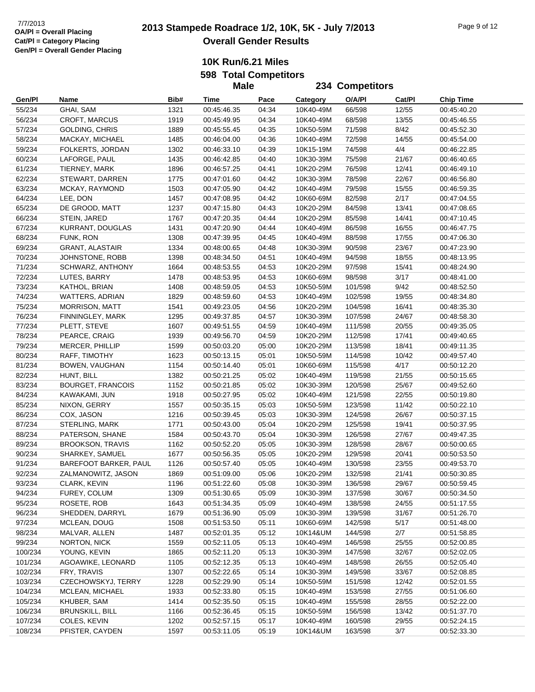**10K Run/6.21 Miles 598 Total Competitors**

**Male**

**Gen/Pl Name Bib# Time Pace Category O/A/Pl Cat/Pl Chip Time 234 Competitors** 55/234 GHAI, SAM 1321 00:45:46.35 04:34 10K40-49M 66/598 12/55 00:45:40.20 56/234 CROFT, MARCUS 1919 00:45:49.95 04:34 10K40-49M 68/598 13/55 00:45:46.55 57/234 GOLDING, CHRIS 1889 00:45:55.45 04:35 10K50-59M 71/598 8/42 00:45:52.30 58/234 MACKAY, MICHAEL 1485 00:46:04.00 04:36 10K40-49M 72/598 14/55 00:45:54.00 59/234 FOLKERTS, JORDAN 1302 00:46:33.10 04:39 10K15-19M 74/598 4/4 00:46:22.85 60/234 LAFORGE, PAUL 1435 00:46:42.85 04:40 10K30-39M 75/598 21/67 00:46:40.65 61/234 TIERNEY, MARK 1896 00:46:57.25 04:41 10K20-29M 76/598 12/41 00:46:49.10 62/234 STEWART, DARREN 1775 00:47:01.60 04:42 10K30-39M 78/598 22/67 00:46:56.80 63/234 MCKAY, RAYMOND 1503 00:47:05.90 04:42 10K40-49M 79/598 15/55 00:46:59.35 64/234 LEE, DON 1457 00:47:08.95 04:42 10K60-69M 82/598 2/17 00:47:04.55 65/234 DE GROOD, MATT 1237 00:47:15.80 04:43 10K20-29M 84/598 13/41 00:47:08.65 66/234 STEIN, JARED 1767 00:47:20.35 04:44 10K20-29M 85/598 14/41 00:47:10.45 67/234 KURRANT, DOUGLAS 1431 00:47:20.90 04:44 10K40-49M 86/598 16/55 00:46:47.75 68/234 FUNK, RON 1308 00:47:39.95 04:45 10K40-49M 88/598 17/55 00:47:06.30 69/234 GRANT, ALASTAIR 1334 00:48:00.65 04:48 10K30-39M 90/598 23/67 00:47:23.90 70/234 JOHNSTONE, ROBB 1398 00:48:34.50 04:51 10K40-49M 94/598 18/55 00:48:13.95 71/234 SCHWARZ, ANTHONY 1664 00:48:53.55 04:53 10K20-29M 97/598 15/41 00:48:24.90 72/234 LUTES, BARRY 1478 00:48:53.95 04:53 10K60-69M 98/598 3/17 00:48:41.00 73/234 KATHOL, BRIAN 1408 00:48:59.05 04:53 10K50-59M 101/598 9/42 00:48:52.50 74/234 WATTERS, ADRIAN 1829 00:48:59.60 04:53 10K40-49M 102/598 19/55 00:48:34.80 75/234 MORRISON, MATT 1541 00:49:23.05 04:56 10K20-29M 104/598 16/41 00:48:35.30 76/234 FINNINGLEY, MARK 1295 00:49:37.85 04:57 10K30-39M 107/598 24/67 00:48:58.30 77/234 PLETT, STEVE 1607 00:49:51.55 04:59 10K40-49M 111/598 20/55 00:49:35.05 78/234 PEARCE, CRAIG 1939 00:49:56.70 04:59 10K20-29M 112/598 17/41 00:49:40.65 79/234 MERCER, PHILLIP 1599 00:50:03.20 05:00 10K20-29M 113/598 18/41 00:49:11.35 80/234 RAFF, TIMOTHY 1623 00:50:13.15 05:01 10K50-59M 114/598 10/42 00:49:57.40 81/234 BOWEN, VAUGHAN 1154 00:50:14.40 05:01 10K60-69M 115/598 4/17 00:50:12.20 82/234 HUNT, BILL 1382 00:50:21.25 05:02 10K40-49M 119/598 21/55 00:50:15.65 83/234 BOURGET, FRANCOIS 1152 00:50:21.85 05:02 10K30-39M 120/598 25/67 00:49:52.60 84/234 KAWAKAMI, JUN 1918 00:50:27.95 05:02 10K40-49M 121/598 22/55 00:50:19.80 85/234 NIXON, GERRY 1557 00:50:35.15 05:03 10K50-59M 123/598 11/42 00:50:22.10 86/234 COX, JASON 1216 00:50:39.45 05:03 10K30-39M 124/598 26/67 00:50:37.15 87/234 STERLING, MARK 1771 00:50:43.00 05:04 10K20-29M 125/598 19/41 00:50:37.95 88/234 PATERSON, SHANE 1584 00:50:43.70 05:04 10K30-39M 126/598 27/67 00:49:47.35 89/234 BROOKSON, TRAVIS 1162 00:50:52.20 05:05 10K30-39M 128/598 28/67 00:50:00.65 90/234 SHARKEY, SAMUEL 1677 00:50:56.35 05:05 10K20-29M 129/598 20/41 00:50:53.50 91/234 BAREFOOT BARKER, PAUL 1126 00:50:57.40 05:05 10K40-49M 130/598 23/55 00:49:53.70 92/234 ZALMANOWITZ, JASON 1869 00:51:09.00 05:06 10K20-29M 132/598 21/41 00:50:30.85 93/234 CLARK, KEVIN 1196 00:51:22.60 05:08 10K30-39M 136/598 29/67 00:50:59.45 94/234 FUREY, COLUM 1309 00:51:30.65 05:09 10K30-39M 137/598 30/67 00:50:34.50 95/234 ROSETE, ROB 1643 00:51:34.35 05:09 10K40-49M 138/598 24/55 00:51:17.55 96/234 SHEDDEN, DARRYL 1679 00:51:36.90 05:09 10K30-39M 139/598 31/67 00:51:26.70 97/234 MCLEAN, DOUG 1508 00:51:53.50 05:11 10K60-69M 142/598 5/17 00:51:48.00 98/234 MALVAR, ALLEN 1487 00:52:01.35 05:12 10K14&UM 144/598 2/7 00:51:58.85 99/234 NORTON, NICK 1559 00:52:11.05 05:13 10K40-49M 146/598 25/55 00:52:00.85 100/234 YOUNG, KEVIN 1865 00:52:11.20 05:13 10K30-39M 147/598 32/67 00:52:02.05 101/234 AGOAWIKE, LEONARD 1105 00:52:12.35 05:13 10K40-49M 148/598 26/55 00:52:05.40 102/234 FRY, TRAVIS 1307 00:52:22.65 05:14 10K30-39M 149/598 33/67 00:52:08.85 103/234 CZECHOWSKYJ, TERRY 1228 00:52:29.90 05:14 10K50-59M 151/598 12/42 00:52:01.55 104/234 MCLEAN, MICHAEL 1933 00:52:33.80 05:15 10K40-49M 153/598 27/55 00:51:06.60 105/234 KHUBER, SAM 1414 00:52:35.50 05:15 10K40-49M 155/598 28/55 00:52:22.00 106/234 BRUNSKILL, BILL 1166 00:52:36.45 05:15 10K50-59M 156/598 13/42 00:51:37.70 107/234 COLES, KEVIN 1202 00:52:57.15 05:17 10K40-49M 160/598 29/55 00:52:24.15 108/234 PFISTER, CAYDEN 1597 00:53:11.05 05:19 10K14&UM 163/598 3/7 00:52:33.30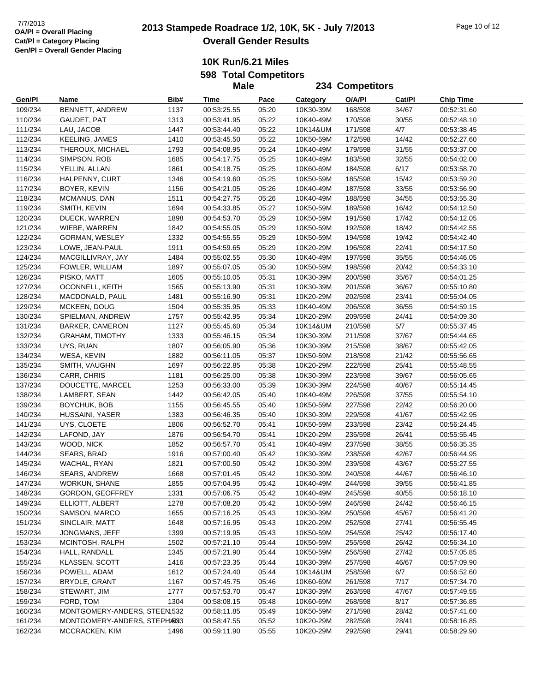# **2013 Stampede Roadrace 1/2, 10K, 5K - July 7/2013** 7/7/2013 Page 10 of 12 **Overall Gender Results**

**234 Competitors**

**10K Run/6.21 Miles**

**598 Total Competitors**

**Male**

| Gen/Pl  | Name                         | Bib# | Time        | Pace  | Category  | O/A/PI  | Cat/Pl | <b>Chip Time</b> |
|---------|------------------------------|------|-------------|-------|-----------|---------|--------|------------------|
| 109/234 | BENNETT, ANDREW              | 1137 | 00:53:25.55 | 05:20 | 10K30-39M | 168/598 | 34/67  | 00:52:31.60      |
| 110/234 | GAUDET, PAT                  | 1313 | 00:53:41.95 | 05:22 | 10K40-49M | 170/598 | 30/55  | 00:52:48.10      |
| 111/234 | LAU, JACOB                   | 1447 | 00:53:44.40 | 05:22 | 10K14&UM  | 171/598 | 4/7    | 00:53:38.45      |
| 112/234 | <b>KEELING, JAMES</b>        | 1410 | 00:53:45.50 | 05:22 | 10K50-59M | 172/598 | 14/42  | 00:52:27.60      |
| 113/234 | THEROUX, MICHAEL             | 1793 | 00:54:08.95 | 05:24 | 10K40-49M | 179/598 | 31/55  | 00:53:37.00      |
| 114/234 | SIMPSON, ROB                 | 1685 | 00:54:17.75 | 05:25 | 10K40-49M | 183/598 | 32/55  | 00:54:02.00      |
| 115/234 | YELLIN, ALLAN                | 1861 | 00:54:18.75 | 05:25 | 10K60-69M | 184/598 | 6/17   | 00:53:58.70      |
| 116/234 | HALPENNY, CURT               | 1346 | 00:54:19.60 | 05:25 | 10K50-59M | 185/598 | 15/42  | 00:53:59.20      |
| 117/234 | BOYER, KEVIN                 | 1156 | 00:54:21.05 | 05:26 | 10K40-49M | 187/598 | 33/55  | 00:53:56.90      |
| 118/234 | MCMANUS, DAN                 | 1511 | 00:54:27.75 | 05:26 | 10K40-49M | 188/598 | 34/55  | 00:53:55.30      |
| 119/234 | SMITH, KEVIN                 | 1694 | 00:54:33.85 | 05:27 | 10K50-59M | 189/598 | 16/42  | 00:54:12.50      |
| 120/234 | DUECK, WARREN                | 1898 | 00:54:53.70 | 05:29 | 10K50-59M | 191/598 | 17/42  | 00:54:12.05      |
| 121/234 | WIEBE, WARREN                | 1842 | 00:54:55.05 | 05:29 | 10K50-59M | 192/598 | 18/42  | 00:54:42.55      |
| 122/234 | GORMAN, WESLEY               | 1332 | 00:54:55.55 | 05:29 | 10K50-59M | 194/598 | 19/42  | 00:54:42.40      |
| 123/234 | LOWE, JEAN-PAUL              | 1911 | 00:54:59.65 | 05:29 | 10K20-29M | 196/598 | 22/41  | 00:54:17.50      |
| 124/234 | MACGILLIVRAY, JAY            | 1484 | 00:55:02.55 | 05:30 | 10K40-49M | 197/598 | 35/55  | 00:54:46.05      |
| 125/234 | FOWLER, WILLIAM              | 1897 | 00:55:07.05 | 05:30 | 10K50-59M | 198/598 | 20/42  | 00:54:33.10      |
| 126/234 | PISKO, MATT                  | 1605 | 00:55:10.05 | 05:31 | 10K30-39M | 200/598 | 35/67  | 00:54:01.25      |
| 127/234 | OCONNELL, KEITH              | 1565 | 00:55:13.90 | 05:31 | 10K30-39M | 201/598 | 36/67  | 00:55:10.80      |
| 128/234 | MACDONALD, PAUL              | 1481 | 00:55:16.90 | 05:31 | 10K20-29M | 202/598 | 23/41  | 00:55:04.05      |
| 129/234 | MCKEEN, DOUG                 | 1504 | 00:55:35.95 | 05:33 | 10K40-49M | 206/598 | 36/55  | 00:54:59.15      |
| 130/234 | SPIELMAN, ANDREW             | 1757 | 00:55:42.95 | 05:34 | 10K20-29M | 209/598 | 24/41  | 00:54:09.30      |
| 131/234 | <b>BARKER, CAMERON</b>       | 1127 | 00:55:45.60 | 05:34 | 10K14&UM  | 210/598 | 5/7    | 00:55:37.45      |
| 132/234 | <b>GRAHAM, TIMOTHY</b>       | 1333 | 00:55:46.15 | 05:34 | 10K30-39M | 211/598 | 37/67  | 00:54:44.65      |
| 133/234 | UYS, RUAN                    | 1807 | 00:56:05.90 | 05:36 | 10K30-39M | 215/598 | 38/67  | 00:55:42.05      |
| 134/234 | WESA, KEVIN                  | 1882 | 00:56:11.05 | 05:37 | 10K50-59M | 218/598 | 21/42  | 00:55:56.65      |
| 135/234 | SMITH, VAUGHN                | 1697 | 00:56:22.85 | 05:38 | 10K20-29M | 222/598 | 25/41  | 00:55:48.55      |
| 136/234 | CARR, CHRIS                  | 1181 | 00:56:25.00 | 05:38 | 10K30-39M | 223/598 | 39/67  | 00:56:05.65      |
| 137/234 | DOUCETTE, MARCEL             | 1253 | 00:56:33.00 | 05:39 | 10K30-39M | 224/598 | 40/67  | 00:55:14.45      |
| 138/234 | LAMBERT, SEAN                | 1442 | 00:56:42.05 | 05:40 | 10K40-49M | 226/598 | 37/55  | 00:55:54.10      |
| 139/234 | BOYCHUK, BOB                 | 1155 | 00:56:45.55 | 05:40 | 10K50-59M | 227/598 | 22/42  | 00:56:20.00      |
| 140/234 | HUSSAINI, YASER              | 1383 | 00:56:46.35 | 05:40 | 10K30-39M | 229/598 | 41/67  | 00:55:42.95      |
| 141/234 | UYS, CLOETE                  | 1806 | 00:56:52.70 | 05:41 | 10K50-59M | 233/598 | 23/42  | 00:56:24.45      |
| 142/234 | LAFOND, JAY                  | 1876 | 00:56:54.70 | 05:41 | 10K20-29M | 235/598 | 26/41  | 00:55:55.45      |
| 143/234 | WOOD, NICK                   | 1852 | 00:56:57.70 | 05:41 | 10K40-49M | 237/598 | 38/55  | 00:56:35.35      |
| 144/234 | SEARS, BRAD                  | 1916 | 00:57:00.40 | 05:42 | 10K30-39M | 238/598 | 42/67  | 00:56:44.95      |
| 145/234 | WACHAL, RYAN                 | 1821 | 00:57:00.50 | 05:42 | 10K30-39M | 239/598 | 43/67  | 00:55:27.55      |
| 146/234 | <b>SEARS, ANDREW</b>         | 1668 | 00:57:01.45 | 05:42 | 10K30-39M | 240/598 | 44/67  | 00:56:46.10      |
| 147/234 | <b>WORKUN, SHANE</b>         | 1855 | 00:57:04.95 | 05:42 | 10K40-49M | 244/598 | 39/55  | 00:56:41.85      |
| 148/234 | GORDON, GEOFFREY             | 1331 | 00:57:06.75 | 05:42 | 10K40-49M | 245/598 | 40/55  | 00:56:18.10      |
| 149/234 | ELLIOTT, ALBERT              | 1278 | 00:57:08.20 | 05:42 | 10K50-59M | 246/598 | 24/42  | 00:56:46.15      |
| 150/234 | SAMSON, MARCO                | 1655 | 00:57:16.25 | 05:43 | 10K30-39M | 250/598 | 45/67  | 00:56:41.20      |
| 151/234 | SINCLAIR, MATT               | 1648 | 00:57:16.95 | 05:43 | 10K20-29M | 252/598 | 27/41  | 00:56:55.45      |
| 152/234 | JONGMANS, JEFF               | 1399 | 00:57:19.95 | 05:43 | 10K50-59M | 254/598 | 25/42  | 00:56:17.40      |
| 153/234 | MCINTOSH, RALPH              | 1502 | 00:57:21.10 | 05:44 | 10K50-59M | 255/598 | 26/42  | 00:56:34.10      |
| 154/234 | HALL, RANDALL                | 1345 | 00:57:21.90 | 05:44 | 10K50-59M | 256/598 | 27/42  | 00:57:05.85      |
| 155/234 | KLASSEN, SCOTT               | 1416 | 00:57:23.35 | 05:44 | 10K30-39M | 257/598 | 46/67  | 00:57:09.90      |
| 156/234 | POWELL, ADAM                 | 1612 | 00:57:24.40 | 05:44 | 10K14&UM  | 258/598 | 6/7    | 00:56:52.60      |
| 157/234 | BRYDLE, GRANT                | 1167 | 00:57:45.75 | 05:46 | 10K60-69M | 261/598 | 7/17   | 00:57:34.70      |
| 158/234 | STEWART, JIM                 | 1777 | 00:57:53.70 | 05:47 | 10K30-39M | 263/598 | 47/67  | 00:57:49.55      |
| 159/234 | FORD, TOM                    | 1304 | 00:58:08.15 | 05:48 | 10K60-69M | 268/598 | 8/17   | 00:57:36.85      |
| 160/234 | MONTGOMERY-ANDERS, STEEN 532 |      | 00:58:11.85 | 05:49 | 10K50-59M | 271/598 | 28/42  | 00:57:41.60      |
| 161/234 | MONTGOMERY-ANDERS, STEPHASS3 |      | 00:58:47.55 | 05:52 | 10K20-29M | 282/598 | 28/41  | 00:58:16.85      |
| 162/234 | MCCRACKEN, KIM               | 1496 | 00:59:11.90 | 05:55 | 10K20-29M | 292/598 | 29/41  | 00:58:29.90      |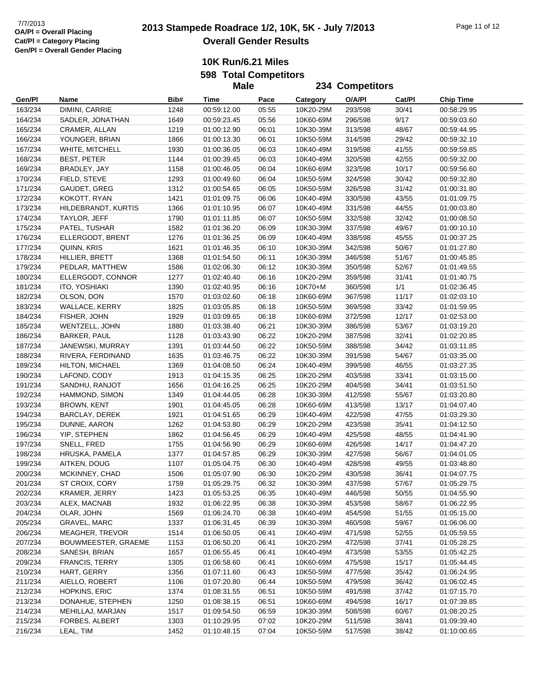# **2013 2013 Stampede Roadrace 1/2, 10K, 5K - July 7/2013** Page 11 of 12 **Overall Gender Results**

**234 Competitors**

**10K Run/6.21 Miles**

**598 Total Competitors**

**Male**

**Gen/Pl Name Bib# Time Pace Category O/A/Pl Cat/Pl Chip Time** 163/234 DIMINI, CARRIE 1248 00:59:12.00 05:55 10K20-29M 293/598 30/41 00:58:29.95 164/234 SADLER, JONATHAN 1649 00:59:23.45 05:56 10K60-69M 296/598 9/17 00:59:03.60 165/234 CRAMER, ALLAN 1219 01:00:12.90 06:01 10K30-39M 313/598 48/67 00:59:44.95 166/234 YOUNGER, BRIAN 1866 01:00:13.30 06:01 10K50-59M 314/598 29/42 00:59:32.10 167/234 WHITE, MITCHELL 1930 01:00:36.05 06:03 10K40-49M 319/598 41/55 00:59:59.85 168/234 BEST, PETER 1144 01:00:39.45 06:03 10K40-49M 320/598 42/55 00:59:32.00 169/234 BRADLEY, JAY 1158 01:00:46.05 06:04 10K60-69M 323/598 10/17 00:59:56.60 170/234 FIELD, STEVE 1293 01:00:49.60 06:04 10K50-59M 324/598 30/42 00:59:32.80 171/234 GAUDET, GREG 1312 01:00:54.65 06:05 10K50-59M 326/598 31/42 01:00:31.80 172/234 KOKOTT, RYAN 1421 01:01:09.75 06:06 10K40-49M 330/598 43/55 01:01:09.75 173/234 HILDEBRANDT, KURTIS 1366 01:01:10.95 06:07 10K40-49M 331/598 44/55 01:00:03.80 174/234 TAYLOR, JEFF 1790 01:01:11.85 06:07 10K50-59M 332/598 32/42 01:00:08.50 175/234 PATEL, TUSHAR 1582 01:01:36.20 06:09 10K30-39M 337/598 49/67 01:00:10.10 176/234 ELLERGODT, BRENT 1276 01:01:36.25 06:09 10K40-49M 338/598 45/55 01:00:37.25 177/234 QUINN, KRIS 1621 01:01:46.35 06:10 10K30-39M 342/598 50/67 01:01:27.80 178/234 HILLIER, BRETT 1368 01:01:54.50 06:11 10K30-39M 346/598 51/67 01:00:45.85 179/234 PEDLAR, MATTHEW 1586 01:02:06.30 06:12 10K30-39M 350/598 52/67 01:01:49.55 180/234 ELLERGODT, CONNOR 1277 01:02:40.40 06:16 10K20-29M 359/598 31/41 01:01:40.75 181/234 ITO, YOSHIAKI 1390 01:02:40.95 06:16 10K70+M 360/598 1/1 01:02:36.45 182/234 OLSON, DON 1570 01:03:02.60 06:18 10K60-69M 367/598 11/17 01:02:03.10 183/234 WALLACE, KERRY 1825 01:03:05.85 06:18 10K50-59M 369/598 33/42 01:01:59.95 184/234 FISHER, JOHN 1929 01:03:09.65 06:18 10K60-69M 372/598 12/17 01:02:53.00 185/234 WENTZELL, JOHN 1880 01:03:38.40 06:21 10K30-39M 386/598 53/67 01:03:19.20 186/234 BARKER, PAUL 1128 01:03:43.90 06:22 10K20-29M 387/598 32/41 01:02:20.85 187/234 JANEWSKI, MURRAY 1391 01:03:44.50 06:22 10K50-59M 388/598 34/42 01:03:11.85 188/234 RIVERA, FERDINAND 1635 01:03:46.75 06:22 10K30-39M 391/598 54/67 01:03:35.00 189/234 HILTON, MICHAEL 1369 01:04:08.50 06:24 10K40-49M 399/598 46/55 01:03:27.35 190/234 LAFOND, CODY 1913 01:04:15.35 06:25 10K20-29M 403/598 33/41 01:03:15.00 191/234 SANDHU, RANJOT 1656 01:04:16.25 06:25 10K20-29M 404/598 34/41 01:03:51.50 192/234 HAMMOND, SIMON 1349 01:04:44.05 06:28 10K30-39M 412/598 55/67 01:03:20.80 193/234 BROWN, KENT 1901 01:04:45.05 06:28 10K60-69M 413/598 13/17 01:04:07.40 194/234 BARCLAY, DEREK 1921 01:04:51.65 06:29 10K40-49M 422/598 47/55 01:03:29.30 195/234 DUNNE, AARON 1262 01:04:53.80 06:29 10K20-29M 423/598 35/41 01:04:12.50 196/234 YIP, STEPHEN 1862 01:04:56.45 06:29 10K40-49M 425/598 48/55 01:04:41.90 197/234 SNELL, FRED 1755 01:04:56.90 06:29 10K60-69M 426/598 14/17 01:04:47.20 198/234 HRUSKA, PAMELA 1377 01:04:57.85 06:29 10K30-39M 427/598 56/67 01:04:01.05 199/234 AITKEN, DOUG 1107 01:05:04.75 06:30 10K40-49M 428/598 49/55 01:03:48.80 200/234 MCKINNEY, CHAD 1506 01:05:07.90 06:30 10K20-29M 430/598 36/41 01:04:07.75 201/234 ST CROIX, CORY 1759 01:05:29.75 06:32 10K30-39M 437/598 57/67 01:05:29.75 202/234 KRAMER, JERRY 1423 01:05:53.25 06:35 10K40-49M 446/598 50/55 01:04:55.90 203/234 ALEX, MACNAB 1932 01:06:22.95 06:38 10K30-39M 453/598 58/67 01:06:22.95 204/234 OLAR, JOHN 1569 01:06:24.70 06:38 10K40-49M 454/598 51/55 01:05:15.00 205/234 GRAVEL, MARC 1337 01:06:31.45 06:39 10K30-39M 460/598 59/67 01:06:06.00 206/234 MEAGHER, TREVOR 1514 01:06:50.05 06:41 10K40-49M 471/598 52/55 01:05:59.55 207/234 BOUWMEESTER, GRAEME 1153 01:06:50.20 06:41 10K20-29M 472/598 37/41 01:05:28.25 208/234 SANESH, BRIAN 1657 01:06:55.45 06:41 10K40-49M 473/598 53/55 01:05:42.25 209/234 FRANCIS, TERRY 1305 01:06:58.60 06:41 10K60-69M 475/598 15/17 01:05:44.45 210/234 HART, GERRY 1356 01:07:11.60 06:43 10K50-59M 477/598 35/42 01:06:24.95 211/234 AIELLO, ROBERT 1106 01:07:20.80 06:44 10K50-59M 479/598 36/42 01:06:02.45 212/234 HOPKINS, ERIC 1374 01:08:31.55 06:51 10K50-59M 491/598 37/42 01:07:15.70 213/234 DONAHUE, STEPHEN 1250 01:08:38.15 06:51 10K60-69M 494/598 16/17 01:07:39.85 214/234 MEHILLAJ, MARJAN 1517 01:09:54.50 06:59 10K30-39M 508/598 60/67 01:08:20.25 215/234 FORBES, ALBERT 1303 01:10:29.95 07:02 10K20-29M 511/598 38/41 01:09:39.40 216/234 LEAL, TIM 1452 01:10:48.15 07:04 10K50-59M 517/598 38/42 01:10:00.65